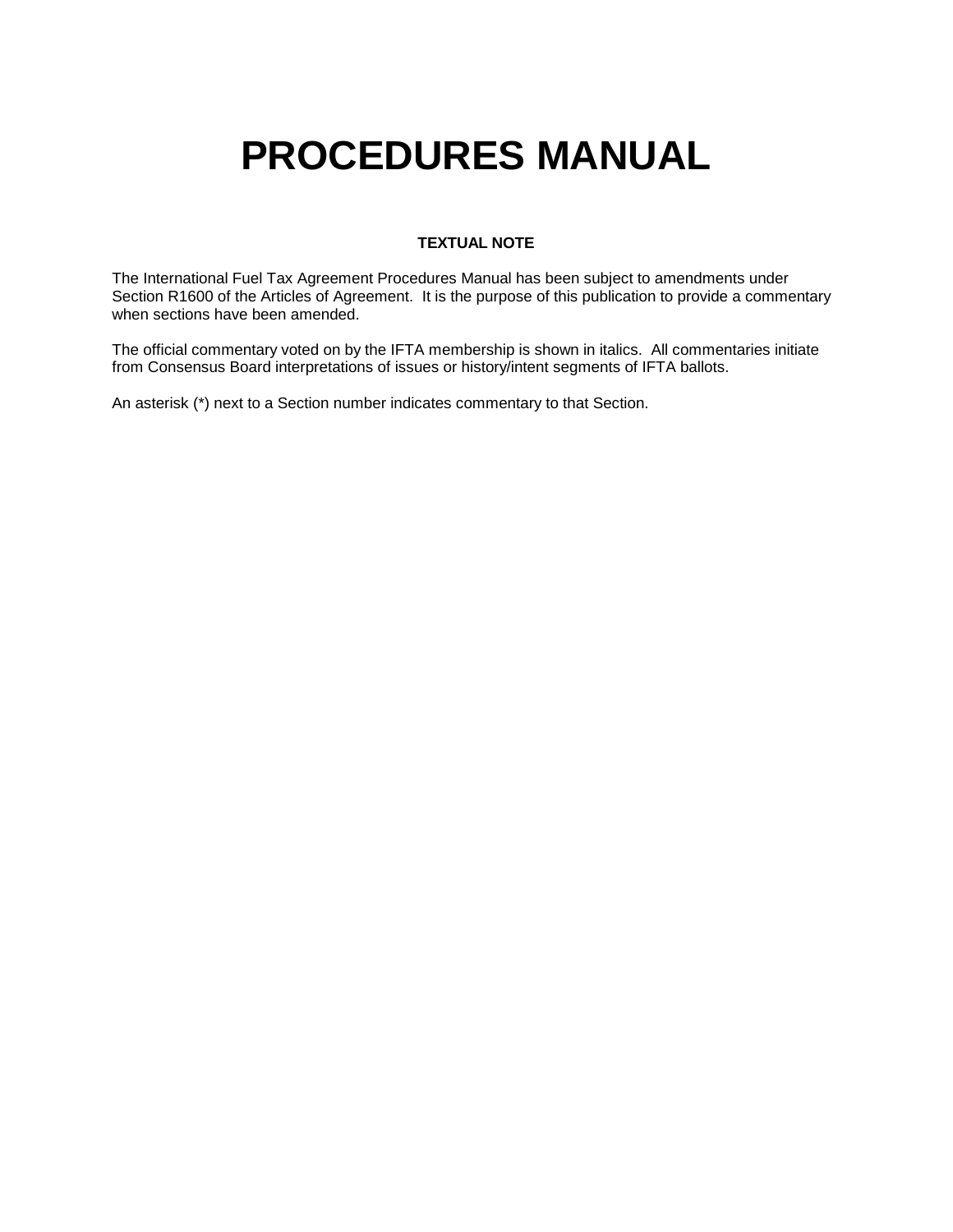# **PROCEDURES MANUAL**

### **TEXTUAL NOTE**

The International Fuel Tax Agreement Procedures Manual has been subject to amendments under Section R1600 of the Articles of Agreement. It is the purpose of this publication to provide a commentary when sections have been amended.

The official commentary voted on by the IFTA membership is shown in italics. All commentaries initiate from Consensus Board interpretations of issues or history/intent segments of IFTA ballots.

An asterisk (\*) next to a Section number indicates commentary to that Section.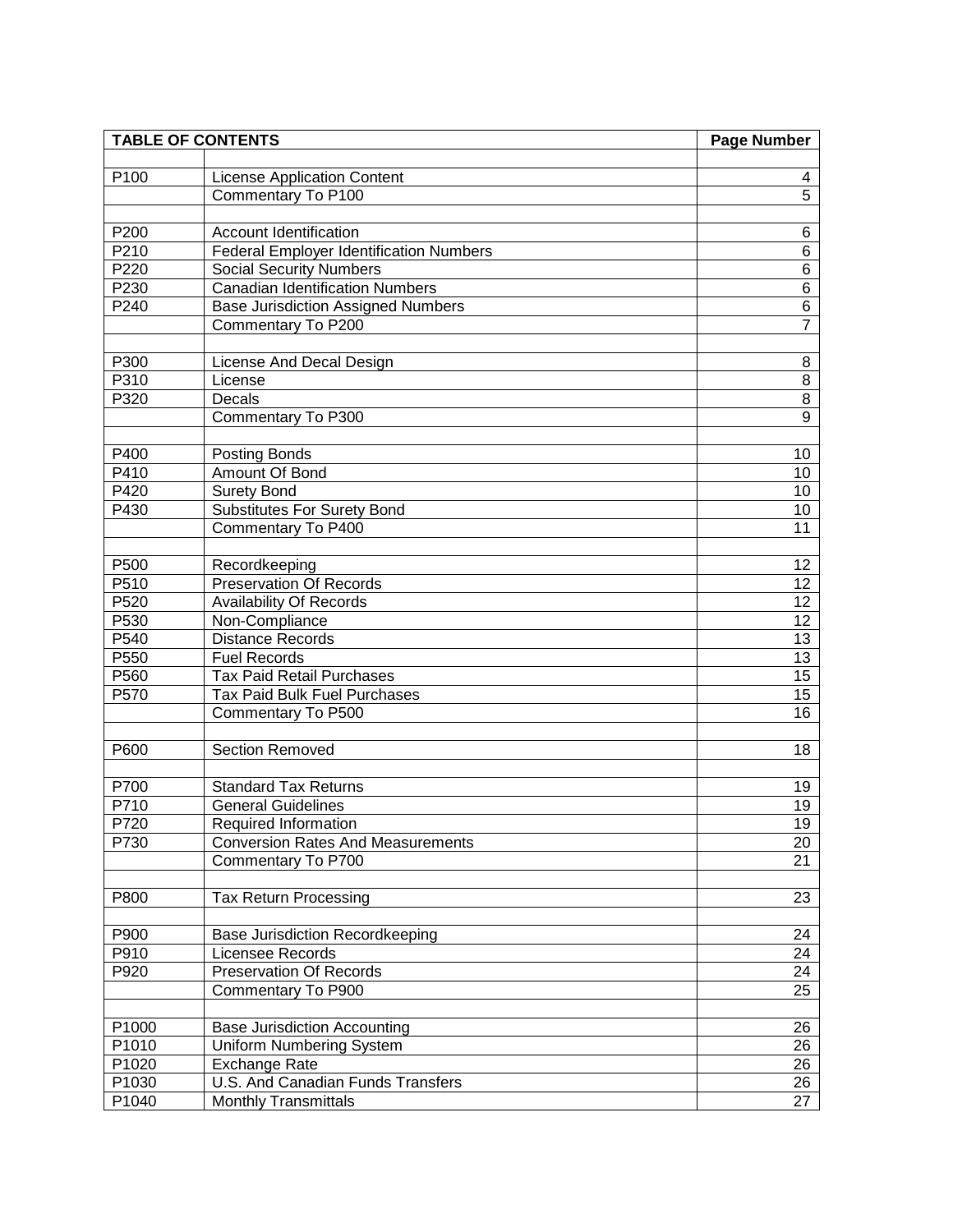| <b>TABLE OF CONTENTS</b> |                                                | Page Number     |
|--------------------------|------------------------------------------------|-----------------|
|                          |                                                |                 |
| P100                     | <b>License Application Content</b>             | 4               |
|                          | Commentary To P100                             | $\overline{5}$  |
|                          |                                                |                 |
| P200                     | <b>Account Identification</b>                  | 6               |
| P210                     | <b>Federal Employer Identification Numbers</b> | $\overline{6}$  |
| P220                     | <b>Social Security Numbers</b>                 | $\overline{6}$  |
| P230                     | Canadian Identification Numbers                | $\overline{6}$  |
| P240                     | <b>Base Jurisdiction Assigned Numbers</b>      | 6               |
|                          | Commentary To P200                             | $\overline{7}$  |
| P300                     | License And Decal Design                       | 8               |
| P310                     | License                                        | $\overline{8}$  |
| P320                     | Decals                                         | $\overline{8}$  |
|                          | Commentary To P300                             | $\overline{9}$  |
|                          |                                                |                 |
| P400                     | Posting Bonds                                  | 10              |
| P410                     | Amount Of Bond                                 | 10              |
| P420                     | <b>Surety Bond</b>                             | 10              |
| P430                     | <b>Substitutes For Surety Bond</b>             | 10              |
|                          | Commentary To P400                             | 11              |
|                          |                                                |                 |
| P500                     | Recordkeeping                                  | 12              |
| P510                     | <b>Preservation Of Records</b>                 | 12              |
| P520                     | <b>Availability Of Records</b>                 | 12              |
| P530                     | Non-Compliance                                 | 12              |
| P540                     | <b>Distance Records</b>                        | 13              |
| P550                     | Fuel Records                                   | 13              |
| P560                     | <b>Tax Paid Retail Purchases</b>               | $\overline{15}$ |
| P570                     | <b>Tax Paid Bulk Fuel Purchases</b>            | 15              |
|                          | Commentary To P500                             | 16              |
|                          |                                                |                 |
| P600                     | Section Removed                                | 18              |
|                          |                                                |                 |
| P700                     | <b>Standard Tax Returns</b>                    | 19              |
| P710                     | <b>General Guidelines</b>                      | 19              |
| P720                     | <b>Required Information</b>                    | 19              |
| P730                     | <b>Conversion Rates And Measurements</b>       | 20              |
|                          | Commentary To P700                             | 21              |
|                          |                                                |                 |
| P800                     | <b>Tax Return Processing</b>                   | 23              |
| P900                     | <b>Base Jurisdiction Recordkeeping</b>         | 24              |
| P910                     | Licensee Records                               | 24              |
| P920                     | <b>Preservation Of Records</b>                 | 24              |
|                          | Commentary To P900                             | 25              |
|                          |                                                |                 |
| P1000                    | <b>Base Jurisdiction Accounting</b>            | 26              |
| P1010                    | <b>Uniform Numbering System</b>                | 26              |
| P1020                    | <b>Exchange Rate</b>                           | 26              |
| P1030                    | U.S. And Canadian Funds Transfers              | 26              |
| P1040                    | <b>Monthly Transmittals</b>                    | 27              |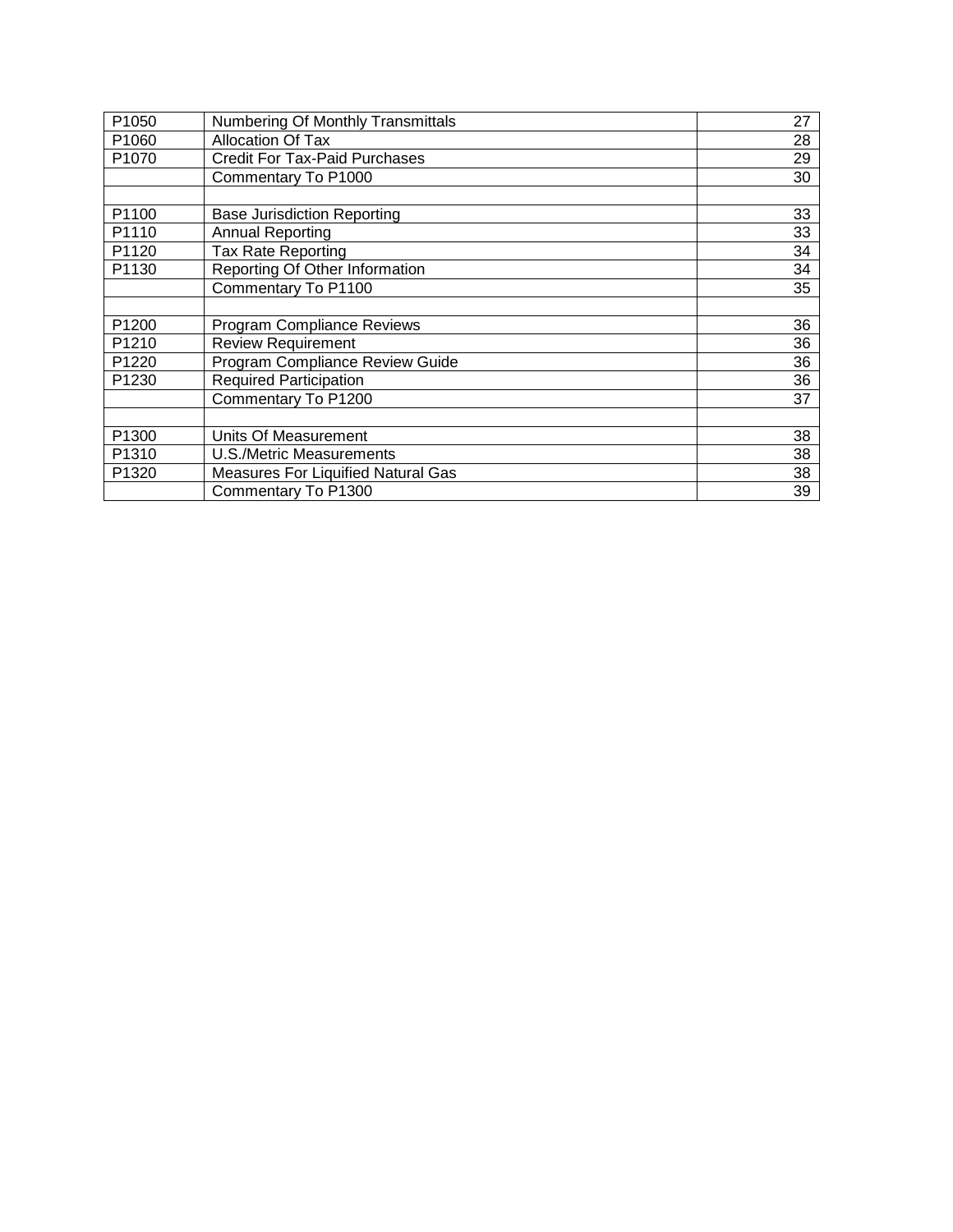| P1050             | <b>Numbering Of Monthly Transmittals</b>  | 27 |
|-------------------|-------------------------------------------|----|
| P <sub>1060</sub> | <b>Allocation Of Tax</b>                  | 28 |
| P1070             | <b>Credit For Tax-Paid Purchases</b>      | 29 |
|                   | Commentary To P1000                       | 30 |
|                   |                                           |    |
| P1100             | <b>Base Jurisdiction Reporting</b>        | 33 |
| P1110             | <b>Annual Reporting</b>                   | 33 |
| P1120             | <b>Tax Rate Reporting</b>                 | 34 |
| P1130             | Reporting Of Other Information            | 34 |
|                   | Commentary To P1100                       | 35 |
|                   |                                           |    |
| P1200             | <b>Program Compliance Reviews</b>         | 36 |
| P1210             | <b>Review Requirement</b>                 | 36 |
| P1220             | Program Compliance Review Guide           | 36 |
| P1230             | <b>Required Participation</b>             | 36 |
|                   | Commentary To P1200                       | 37 |
|                   |                                           |    |
| P <sub>1300</sub> | Units Of Measurement                      | 38 |
| P <sub>1310</sub> | U.S./Metric Measurements                  | 38 |
| P1320             | <b>Measures For Liquified Natural Gas</b> | 38 |
|                   | Commentary To P1300                       | 39 |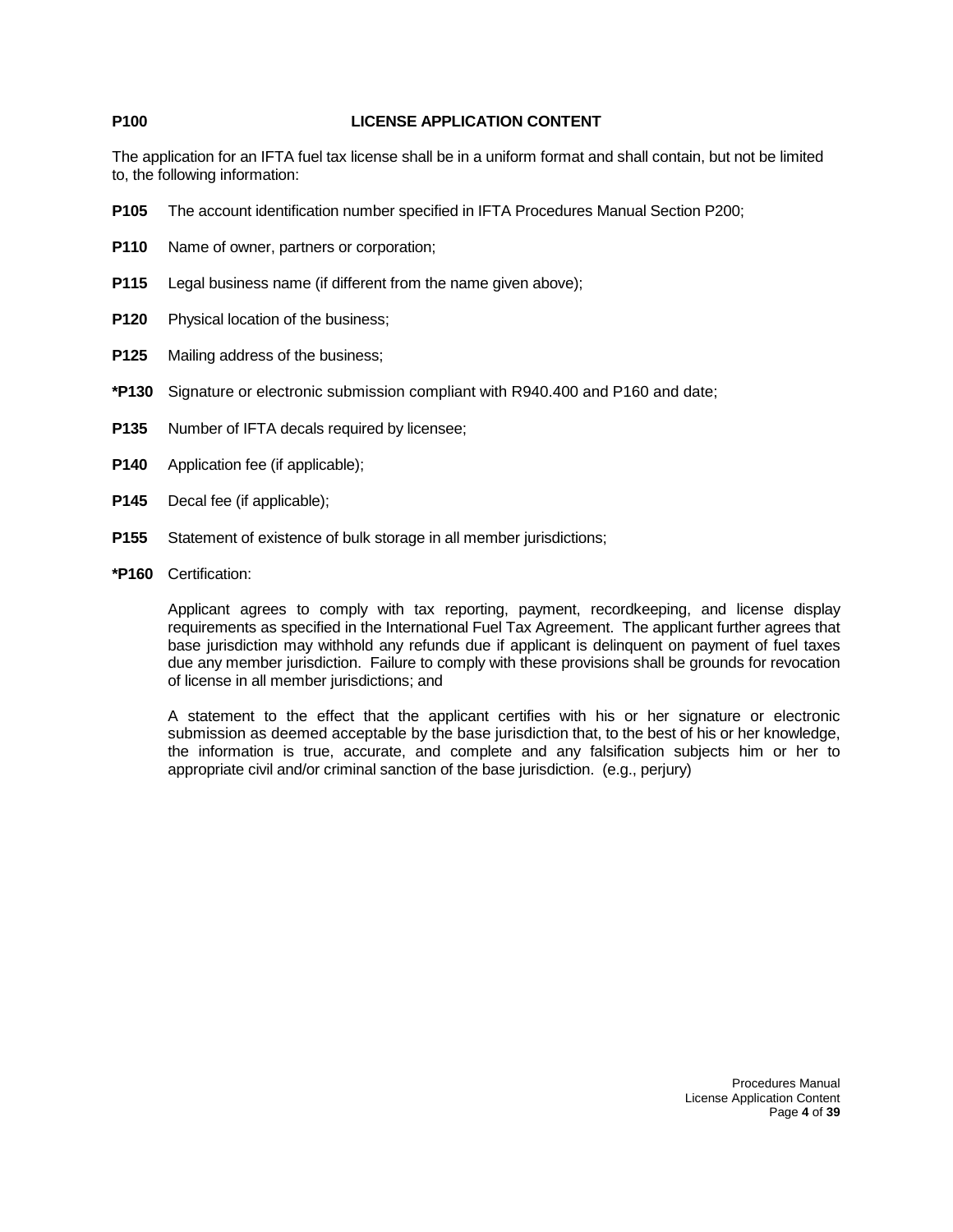### **P100 LICENSE APPLICATION CONTENT**

The application for an IFTA fuel tax license shall be in a uniform format and shall contain, but not be limited to, the following information:

- **P105** The account identification number specified in IFTA Procedures Manual Section P200;
- **P110** Name of owner, partners or corporation;
- **P115** Legal business name (if different from the name given above);
- **P120** Physical location of the business;
- **P125** Mailing address of the business;
- **\*P130** Signature or electronic submission compliant with R940.400 and P160 and date;
- **P135** Number of IFTA decals required by licensee;
- **P140** Application fee (if applicable);
- **P145** Decal fee (if applicable);
- **P155** Statement of existence of bulk storage in all member jurisdictions;
- **\*P160** Certification:

Applicant agrees to comply with tax reporting, payment, recordkeeping, and license display requirements as specified in the International Fuel Tax Agreement. The applicant further agrees that base jurisdiction may withhold any refunds due if applicant is delinquent on payment of fuel taxes due any member jurisdiction. Failure to comply with these provisions shall be grounds for revocation of license in all member jurisdictions; and

A statement to the effect that the applicant certifies with his or her signature or electronic submission as deemed acceptable by the base jurisdiction that, to the best of his or her knowledge, the information is true, accurate, and complete and any falsification subjects him or her to appropriate civil and/or criminal sanction of the base jurisdiction. (e.g., perjury)

> Procedures Manual License Application Content Page **4** of **39**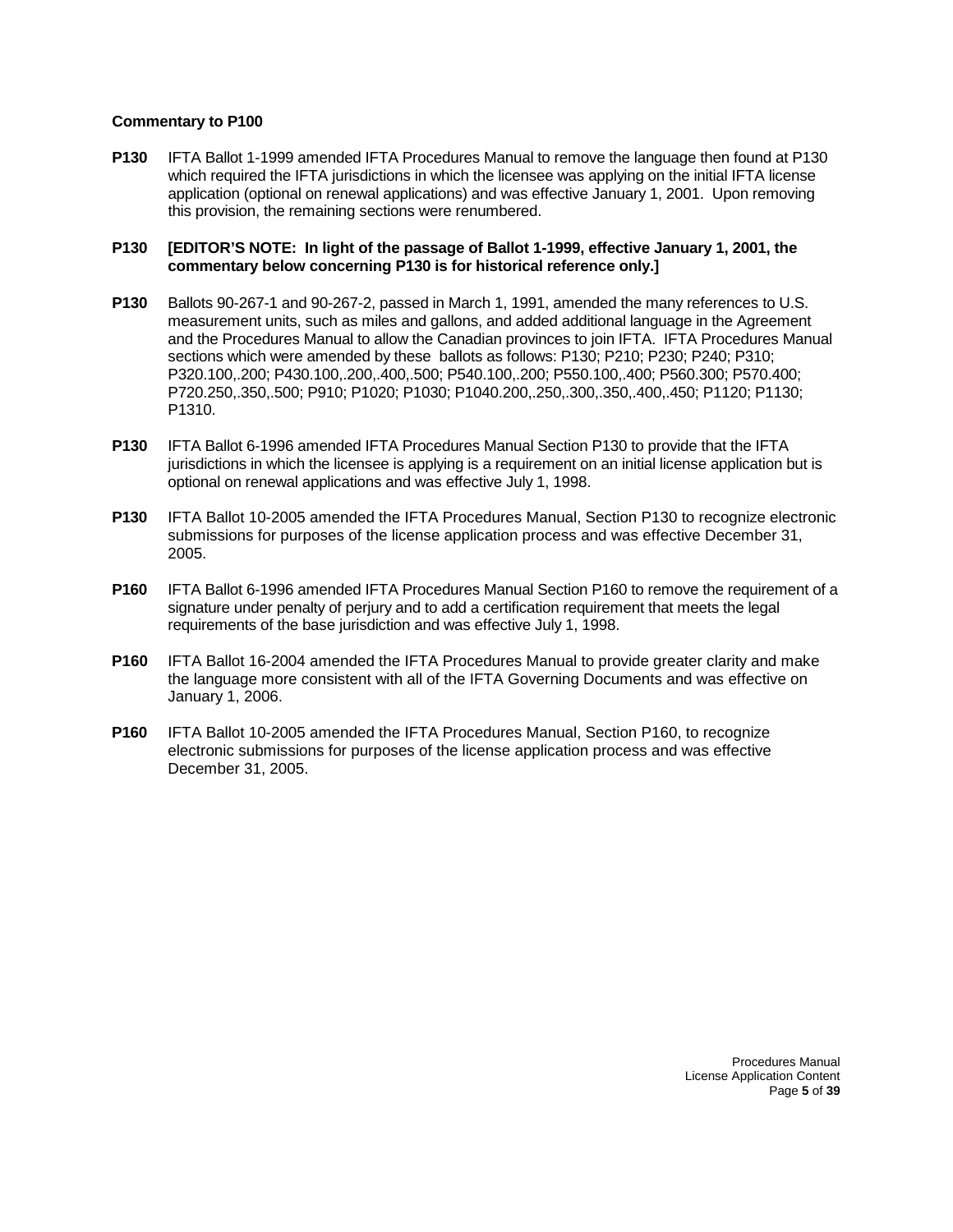**P130** IFTA Ballot 1-1999 amended IFTA Procedures Manual to remove the language then found at P130 which required the IFTA jurisdictions in which the licensee was applying on the initial IFTA license application (optional on renewal applications) and was effective January 1, 2001. Upon removing this provision, the remaining sections were renumbered.

#### **P130 [EDITOR'S NOTE: In light of the passage of Ballot 1-1999, effective January 1, 2001, the commentary below concerning P130 is for historical reference only.]**

- **P130** Ballots 90-267-1 and 90-267-2, passed in March 1, 1991, amended the many references to U.S. measurement units, such as miles and gallons, and added additional language in the Agreement and the Procedures Manual to allow the Canadian provinces to join IFTA. IFTA Procedures Manual sections which were amended by these ballots as follows: P130; P210; P230; P240; P310; P320.100,.200; P430.100,.200,.400,.500; P540.100,.200; P550.100,.400; P560.300; P570.400; P720.250,.350,.500; P910; P1020; P1030; P1040.200,.250,.300,.350,.400,.450; P1120; P1130; P1310.
- **P130** IFTA Ballot 6-1996 amended IFTA Procedures Manual Section P130 to provide that the IFTA jurisdictions in which the licensee is applying is a requirement on an initial license application but is optional on renewal applications and was effective July 1, 1998.
- **P130** IFTA Ballot 10-2005 amended the IFTA Procedures Manual, Section P130 to recognize electronic submissions for purposes of the license application process and was effective December 31, 2005.
- **P160** IFTA Ballot 6-1996 amended IFTA Procedures Manual Section P160 to remove the requirement of a signature under penalty of perjury and to add a certification requirement that meets the legal requirements of the base jurisdiction and was effective July 1, 1998.
- **P160** IFTA Ballot 16-2004 amended the IFTA Procedures Manual to provide greater clarity and make the language more consistent with all of the IFTA Governing Documents and was effective on January 1, 2006.
- **P160** IFTA Ballot 10-2005 amended the IFTA Procedures Manual, Section P160, to recognize electronic submissions for purposes of the license application process and was effective December 31, 2005.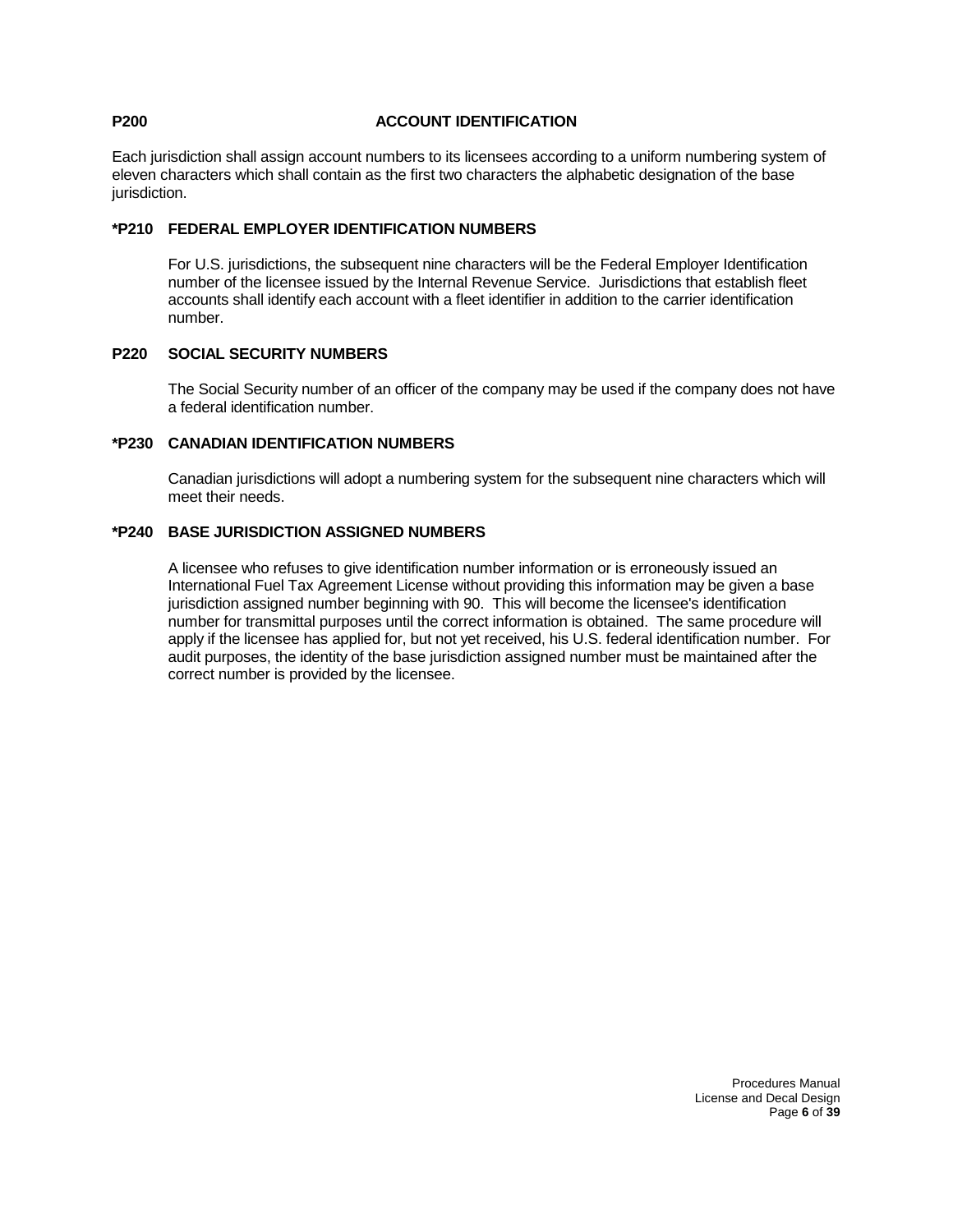### **P200 ACCOUNT IDENTIFICATION**

Each jurisdiction shall assign account numbers to its licensees according to a uniform numbering system of eleven characters which shall contain as the first two characters the alphabetic designation of the base jurisdiction.

### **\*P210 FEDERAL EMPLOYER IDENTIFICATION NUMBERS**

For U.S. jurisdictions, the subsequent nine characters will be the Federal Employer Identification number of the licensee issued by the Internal Revenue Service. Jurisdictions that establish fleet accounts shall identify each account with a fleet identifier in addition to the carrier identification number.

#### **P220 SOCIAL SECURITY NUMBERS**

The Social Security number of an officer of the company may be used if the company does not have a federal identification number.

### **\*P230 CANADIAN IDENTIFICATION NUMBERS**

Canadian jurisdictions will adopt a numbering system for the subsequent nine characters which will meet their needs.

### **\*P240 BASE JURISDICTION ASSIGNED NUMBERS**

A licensee who refuses to give identification number information or is erroneously issued an International Fuel Tax Agreement License without providing this information may be given a base jurisdiction assigned number beginning with 90. This will become the licensee's identification number for transmittal purposes until the correct information is obtained. The same procedure will apply if the licensee has applied for, but not yet received, his U.S. federal identification number. For audit purposes, the identity of the base jurisdiction assigned number must be maintained after the correct number is provided by the licensee.

> Procedures Manual License and Decal Design Page **6** of **39**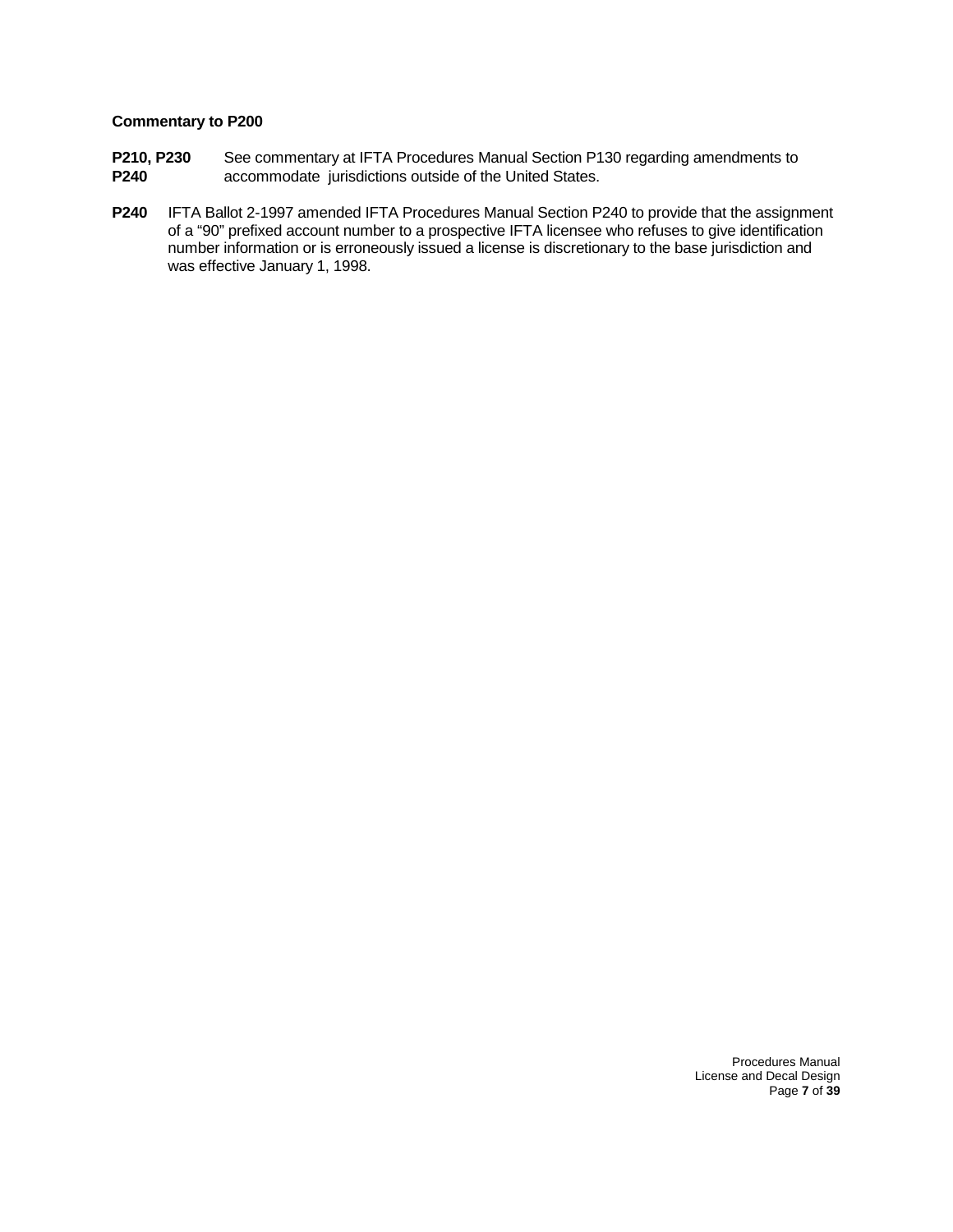- **P210, P230** See commentary at IFTA Procedures Manual Section P130 regarding amendments to<br>**P240** accommodate jurisdictions outside of the United States. accommodate jurisdictions outside of the United States.
- **P240** IFTA Ballot 2-1997 amended IFTA Procedures Manual Section P240 to provide that the assignment of a "90" prefixed account number to a prospective IFTA licensee who refuses to give identification number information or is erroneously issued a license is discretionary to the base jurisdiction and was effective January 1, 1998.

Procedures Manual License and Decal Design Page **7** of **39**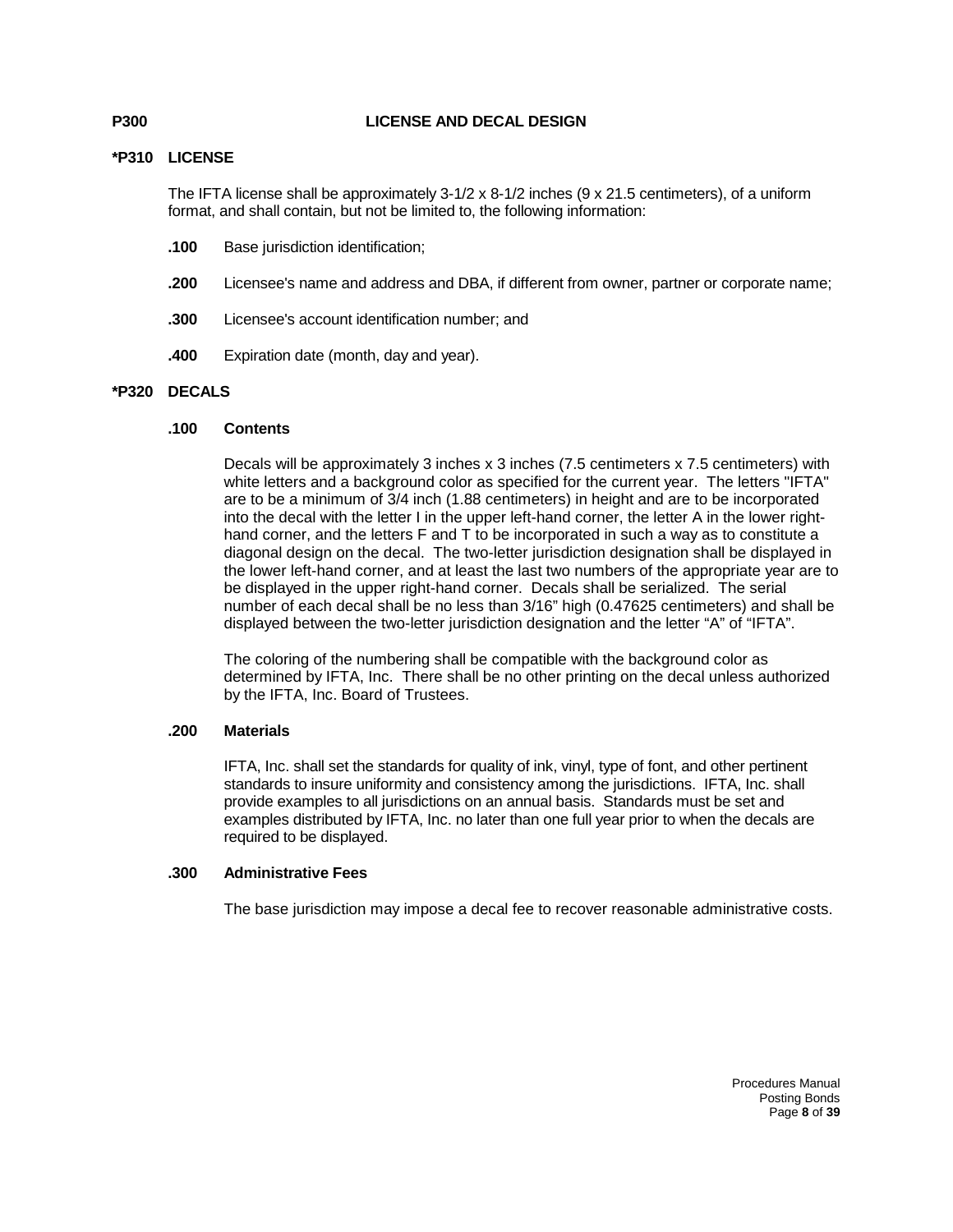#### **P300 LICENSE AND DECAL DESIGN**

### **\*P310 LICENSE**

The IFTA license shall be approximately 3-1/2 x 8-1/2 inches (9 x 21.5 centimeters), of a uniform format, and shall contain, but not be limited to, the following information:

- **.100** Base jurisdiction identification;
- **.200** Licensee's name and address and DBA, if different from owner, partner or corporate name;
- **.300** Licensee's account identification number; and
- **.400** Expiration date (month, day and year).

### **\*P320 DECALS**

#### **.100 Contents**

Decals will be approximately 3 inches x 3 inches (7.5 centimeters x 7.5 centimeters) with white letters and a background color as specified for the current year. The letters "IFTA" are to be a minimum of 3/4 inch (1.88 centimeters) in height and are to be incorporated into the decal with the letter I in the upper left-hand corner, the letter A in the lower righthand corner, and the letters F and T to be incorporated in such a way as to constitute a diagonal design on the decal. The two-letter jurisdiction designation shall be displayed in the lower left-hand corner, and at least the last two numbers of the appropriate year are to be displayed in the upper right-hand corner. Decals shall be serialized. The serial number of each decal shall be no less than 3/16" high (0.47625 centimeters) and shall be displayed between the two-letter jurisdiction designation and the letter "A" of "IFTA".

The coloring of the numbering shall be compatible with the background color as determined by IFTA, Inc. There shall be no other printing on the decal unless authorized by the IFTA, Inc. Board of Trustees.

#### **.200 Materials**

IFTA, Inc. shall set the standards for quality of ink, vinyl, type of font, and other pertinent standards to insure uniformity and consistency among the jurisdictions. IFTA, Inc. shall provide examples to all jurisdictions on an annual basis. Standards must be set and examples distributed by IFTA, Inc. no later than one full year prior to when the decals are required to be displayed.

### **.300 Administrative Fees**

The base jurisdiction may impose a decal fee to recover reasonable administrative costs.

Procedures Manual Posting Bonds Page **8** of **39**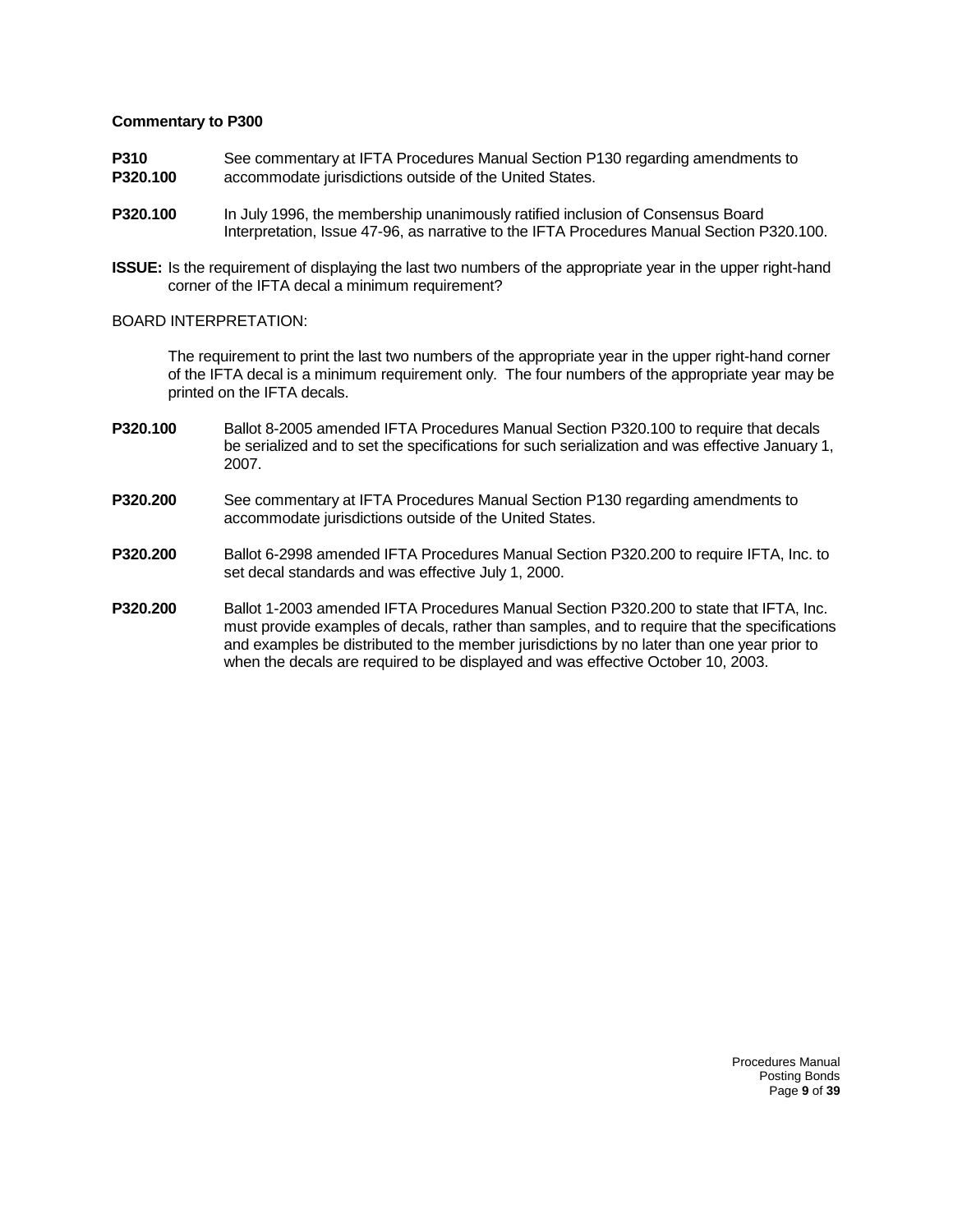- **P310** See commentary at IFTA Procedures Manual Section P130 regarding amendments to **P320.100** accommodate jurisdictions outside of the United States.
- **P320.100** In July 1996, the membership unanimously ratified inclusion of Consensus Board Interpretation, Issue 47-96, as narrative to the IFTA Procedures Manual Section P320.100.
- **ISSUE:** Is the requirement of displaying the last two numbers of the appropriate year in the upper right-hand corner of the IFTA decal a minimum requirement?

#### BOARD INTERPRETATION:

The requirement to print the last two numbers of the appropriate year in the upper right-hand corner of the IFTA decal is a minimum requirement only. The four numbers of the appropriate year may be printed on the IFTA decals.

- **P320.100** Ballot 8-2005 amended IFTA Procedures Manual Section P320.100 to require that decals be serialized and to set the specifications for such serialization and was effective January 1, 2007.
- **P320.200** See commentary at IFTA Procedures Manual Section P130 regarding amendments to accommodate jurisdictions outside of the United States.
- **P320.200** Ballot 6-2998 amended IFTA Procedures Manual Section P320.200 to require IFTA, Inc. to set decal standards and was effective July 1, 2000.
- **P320.200** Ballot 1-2003 amended IFTA Procedures Manual Section P320.200 to state that IFTA, Inc. must provide examples of decals, rather than samples, and to require that the specifications and examples be distributed to the member jurisdictions by no later than one year prior to when the decals are required to be displayed and was effective October 10, 2003.

Procedures Manual Posting Bonds Page **9** of **39**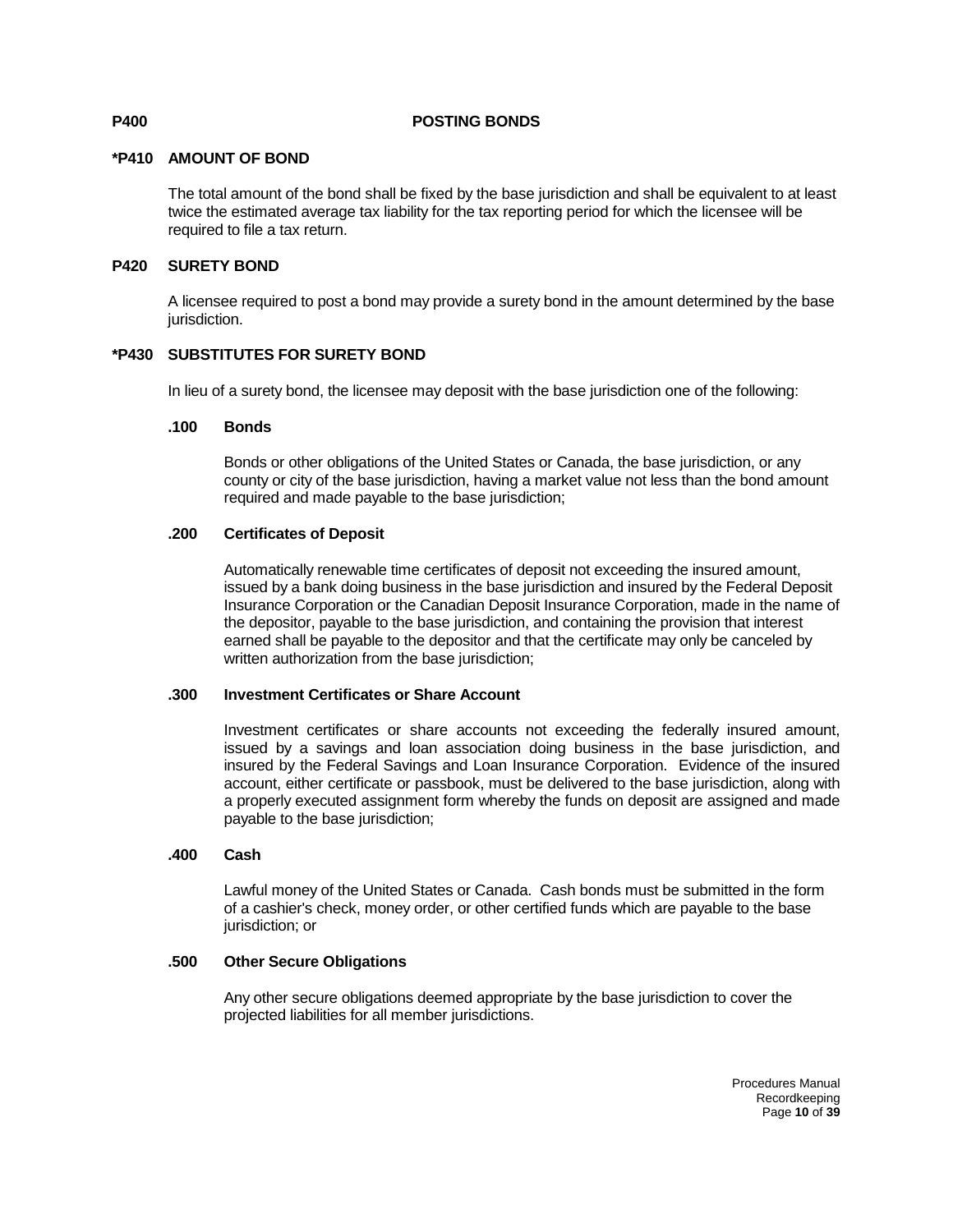#### **P400 POSTING BONDS**

#### **\*P410 AMOUNT OF BOND**

The total amount of the bond shall be fixed by the base jurisdiction and shall be equivalent to at least twice the estimated average tax liability for the tax reporting period for which the licensee will be required to file a tax return.

#### **P420 SURETY BOND**

A licensee required to post a bond may provide a surety bond in the amount determined by the base jurisdiction.

#### **\*P430 SUBSTITUTES FOR SURETY BOND**

In lieu of a surety bond, the licensee may deposit with the base jurisdiction one of the following:

#### **.100 Bonds**

Bonds or other obligations of the United States or Canada, the base jurisdiction, or any county or city of the base jurisdiction, having a market value not less than the bond amount required and made payable to the base jurisdiction;

#### **.200 Certificates of Deposit**

Automatically renewable time certificates of deposit not exceeding the insured amount, issued by a bank doing business in the base jurisdiction and insured by the Federal Deposit Insurance Corporation or the Canadian Deposit Insurance Corporation, made in the name of the depositor, payable to the base jurisdiction, and containing the provision that interest earned shall be payable to the depositor and that the certificate may only be canceled by written authorization from the base jurisdiction;

#### **.300 Investment Certificates or Share Account**

Investment certificates or share accounts not exceeding the federally insured amount, issued by a savings and loan association doing business in the base jurisdiction, and insured by the Federal Savings and Loan Insurance Corporation. Evidence of the insured account, either certificate or passbook, must be delivered to the base jurisdiction, along with a properly executed assignment form whereby the funds on deposit are assigned and made payable to the base jurisdiction;

#### **.400 Cash**

Lawful money of the United States or Canada. Cash bonds must be submitted in the form of a cashier's check, money order, or other certified funds which are payable to the base jurisdiction; or

#### **.500 Other Secure Obligations**

Any other secure obligations deemed appropriate by the base jurisdiction to cover the projected liabilities for all member jurisdictions.

> Procedures Manual Recordkeeping Page **10** of **39**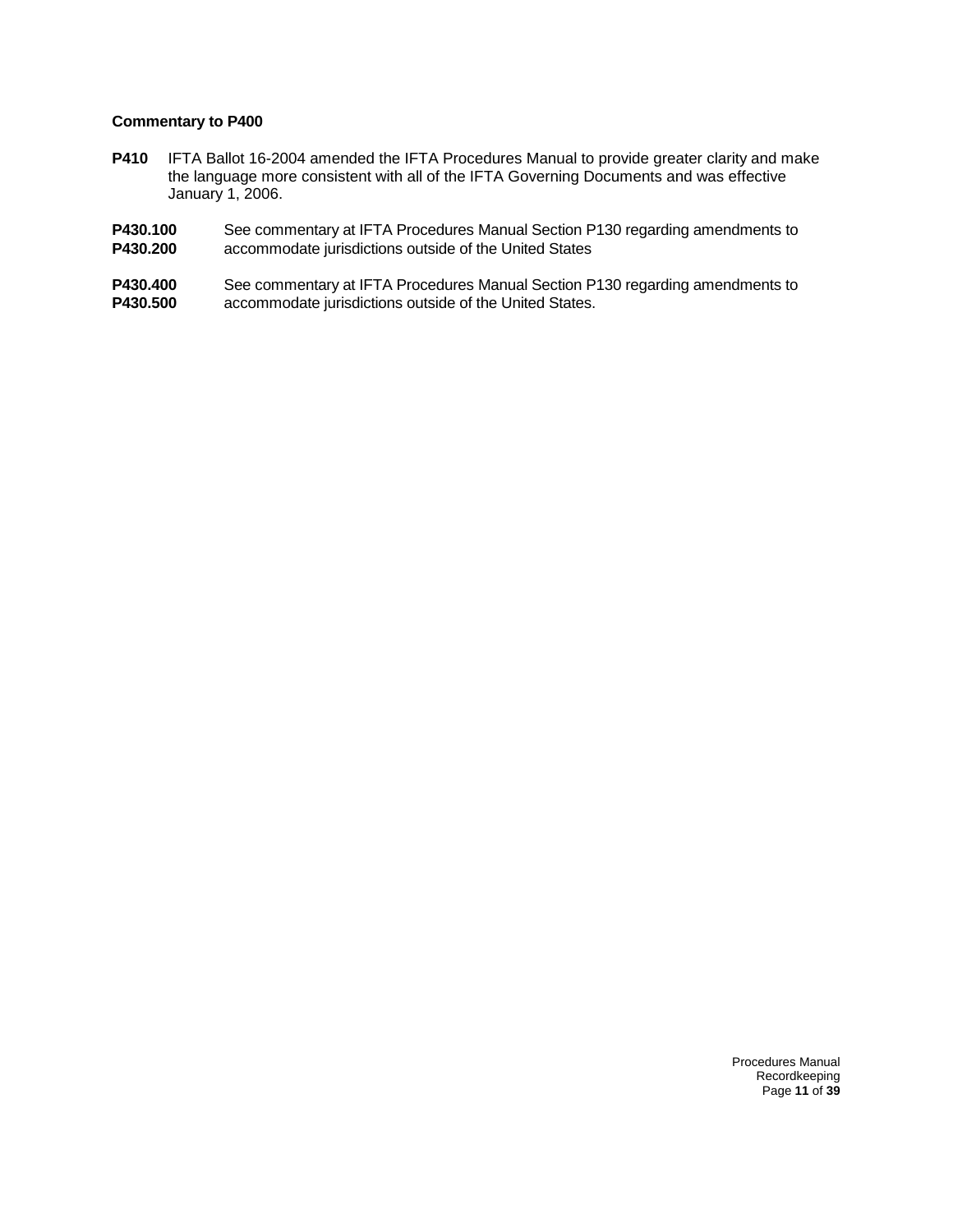- **P410** IFTA Ballot 16-2004 amended the IFTA Procedures Manual to provide greater clarity and make the language more consistent with all of the IFTA Governing Documents and was effective January 1, 2006.
- **P430.100** See commentary at IFTA Procedures Manual Section P130 regarding amendments to **P430.200** accommodate jurisdictions outside of the United States accommodate jurisdictions outside of the United States
- **P430.400** See commentary at IFTA Procedures Manual Section P130 regarding amendments to **P430.500** accommodate jurisdictions outside of the United States. accommodate jurisdictions outside of the United States.

Procedures Manual Recordkeeping Page **11** of **39**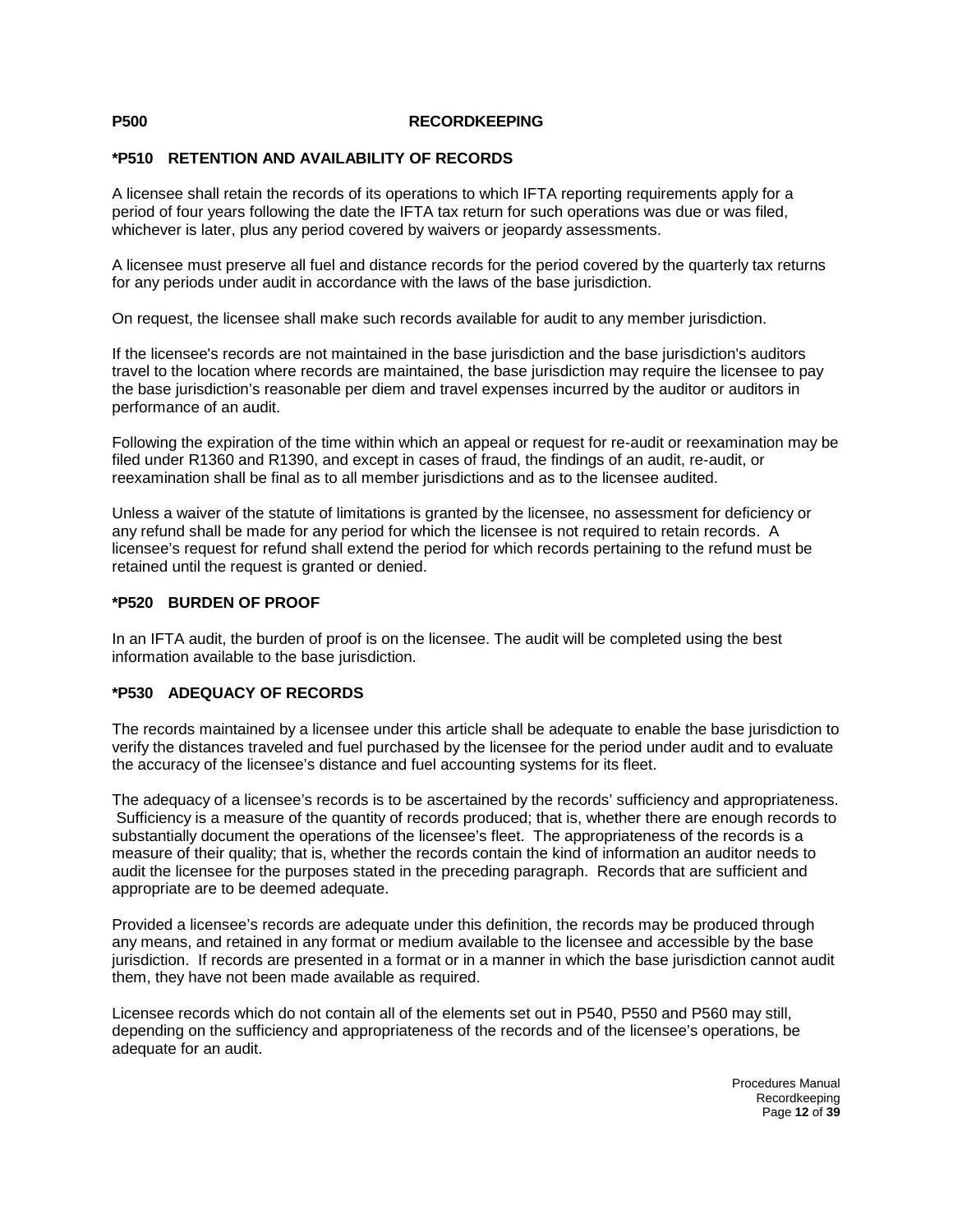#### **P500 RECORDKEEPING**

#### **\*P510 RETENTION AND AVAILABILITY OF RECORDS**

A licensee shall retain the records of its operations to which IFTA reporting requirements apply for a period of four years following the date the IFTA tax return for such operations was due or was filed, whichever is later, plus any period covered by waivers or jeopardy assessments.

A licensee must preserve all fuel and distance records for the period covered by the quarterly tax returns for any periods under audit in accordance with the laws of the base jurisdiction.

On request, the licensee shall make such records available for audit to any member jurisdiction.

If the licensee's records are not maintained in the base jurisdiction and the base jurisdiction's auditors travel to the location where records are maintained, the base jurisdiction may require the licensee to pay the base jurisdiction's reasonable per diem and travel expenses incurred by the auditor or auditors in performance of an audit.

Following the expiration of the time within which an appeal or request for re-audit or reexamination may be filed under R1360 and R1390, and except in cases of fraud, the findings of an audit, re-audit, or reexamination shall be final as to all member jurisdictions and as to the licensee audited.

Unless a waiver of the statute of limitations is granted by the licensee, no assessment for deficiency or any refund shall be made for any period for which the licensee is not required to retain records. A licensee's request for refund shall extend the period for which records pertaining to the refund must be retained until the request is granted or denied.

#### **\*P520 BURDEN OF PROOF**

In an IFTA audit, the burden of proof is on the licensee. The audit will be completed using the best information available to the base jurisdiction.

#### **\*P530 ADEQUACY OF RECORDS**

The records maintained by a licensee under this article shall be adequate to enable the base jurisdiction to verify the distances traveled and fuel purchased by the licensee for the period under audit and to evaluate the accuracy of the licensee's distance and fuel accounting systems for its fleet.

The adequacy of a licensee's records is to be ascertained by the records' sufficiency and appropriateness. Sufficiency is a measure of the quantity of records produced; that is, whether there are enough records to substantially document the operations of the licensee's fleet. The appropriateness of the records is a measure of their quality; that is, whether the records contain the kind of information an auditor needs to audit the licensee for the purposes stated in the preceding paragraph. Records that are sufficient and appropriate are to be deemed adequate.

Provided a licensee's records are adequate under this definition, the records may be produced through any means, and retained in any format or medium available to the licensee and accessible by the base jurisdiction. If records are presented in a format or in a manner in which the base jurisdiction cannot audit them, they have not been made available as required.

Licensee records which do not contain all of the elements set out in P540, P550 and P560 may still, depending on the sufficiency and appropriateness of the records and of the licensee's operations, be adequate for an audit.

> Procedures Manual Recordkeeping Page **12** of **39**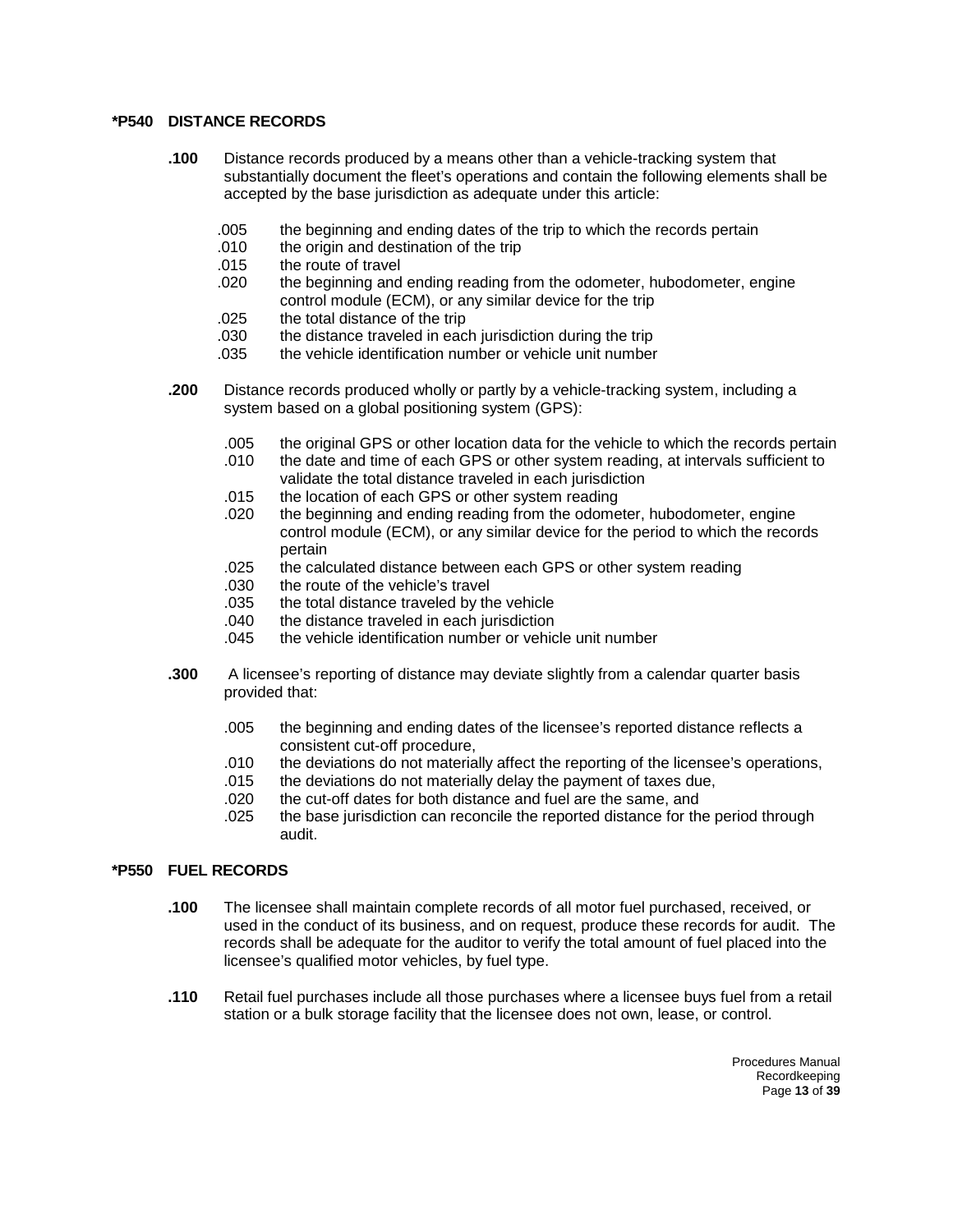#### **\*P540 DISTANCE RECORDS**

- **.100** Distance records produced by a means other than a vehicle-tracking system that substantially document the fleet's operations and contain the following elements shall be accepted by the base jurisdiction as adequate under this article:
	- .005 the beginning and ending dates of the trip to which the records pertain
	- .010 the origin and destination of the trip
	- .015 the route of travel
	- .020 the beginning and ending reading from the odometer, hubodometer, engine control module (ECM), or any similar device for the trip
	- .025 the total distance of the trip
	- .030 the distance traveled in each jurisdiction during the trip
	- .035 the vehicle identification number or vehicle unit number
- **.200** Distance records produced wholly or partly by a vehicle-tracking system, including a system based on a global positioning system (GPS):
	- .005 the original GPS or other location data for the vehicle to which the records pertain
	- .010 the date and time of each GPS or other system reading, at intervals sufficient to validate the total distance traveled in each jurisdiction
	- .015 the location of each GPS or other system reading
	- the beginning and ending reading from the odometer, hubodometer, engine control module (ECM), or any similar device for the period to which the records pertain
	- .025 the calculated distance between each GPS or other system reading
	- the route of the vehicle's travel
	- .035 the total distance traveled by the vehicle
	- .040 the distance traveled in each jurisdiction
	- .045 the vehicle identification number or vehicle unit number
- **.300** A licensee's reporting of distance may deviate slightly from a calendar quarter basis provided that:
	- .005 the beginning and ending dates of the licensee's reported distance reflects a consistent cut-off procedure,
	- .010 the deviations do not materially affect the reporting of the licensee's operations,<br>015 the deviations do not materially delay the payment of taxes due.
	- .015 the deviations do not materially delay the payment of taxes due,<br>.020 the cut-off dates for both distance and fuel are the same, and
	- the cut-off dates for both distance and fuel are the same, and
	- .025 the base jurisdiction can reconcile the reported distance for the period through audit.

#### **\*P550 FUEL RECORDS**

- **.100** The licensee shall maintain complete records of all motor fuel purchased, received, or used in the conduct of its business, and on request, produce these records for audit. The records shall be adequate for the auditor to verify the total amount of fuel placed into the licensee's qualified motor vehicles, by fuel type.
- **.110** Retail fuel purchases include all those purchases where a licensee buys fuel from a retail station or a bulk storage facility that the licensee does not own, lease, or control.

Procedures Manual Recordkeeping Page **13** of **39**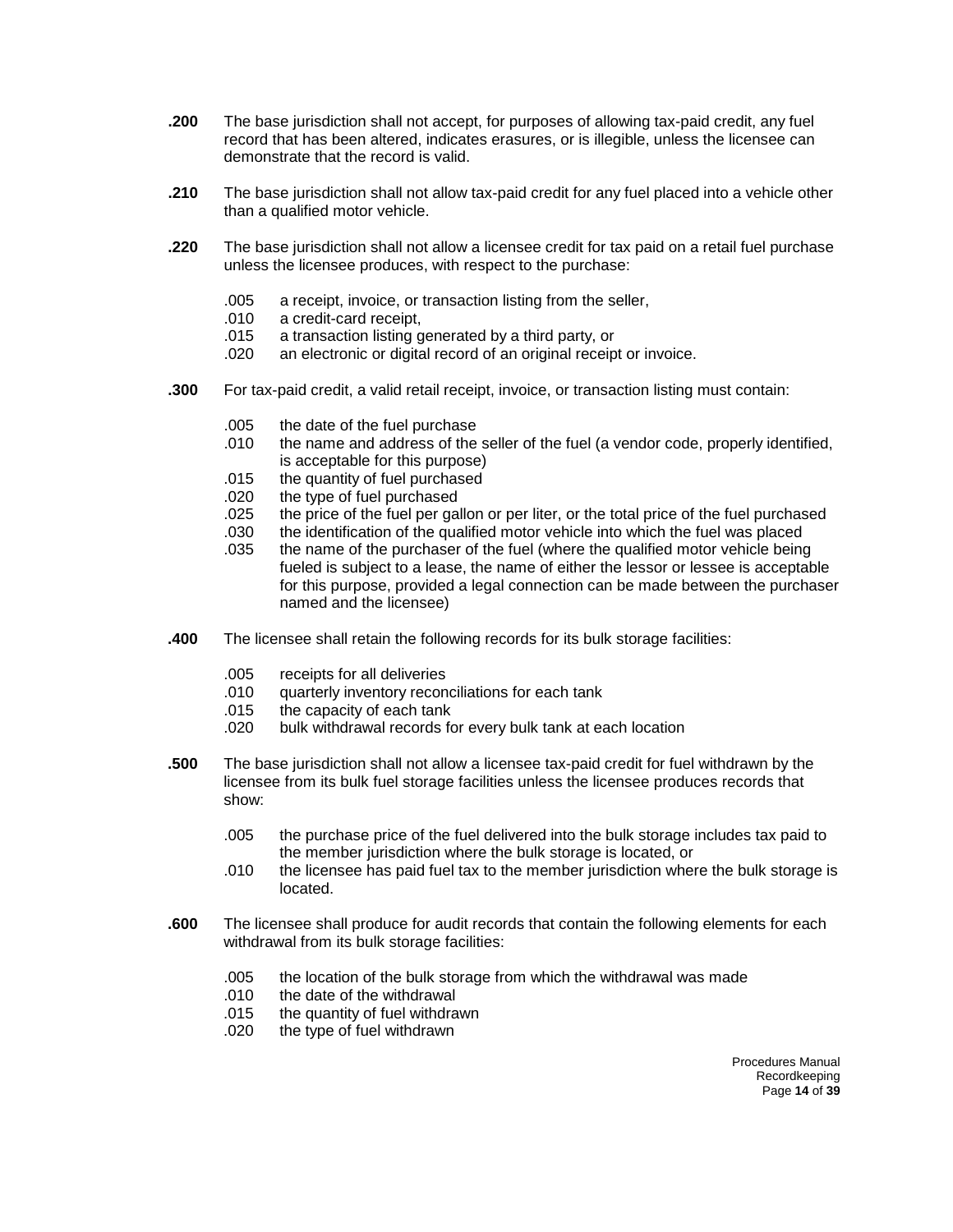- **.200** The base jurisdiction shall not accept, for purposes of allowing tax-paid credit, any fuel record that has been altered, indicates erasures, or is illegible, unless the licensee can demonstrate that the record is valid.
- **.210** The base jurisdiction shall not allow tax-paid credit for any fuel placed into a vehicle other than a qualified motor vehicle.
- **.220** The base jurisdiction shall not allow a licensee credit for tax paid on a retail fuel purchase unless the licensee produces, with respect to the purchase:
	- .005 a receipt, invoice, or transaction listing from the seller,
	- a credit-card receipt.
	- .015 a transaction listing generated by a third party, or
	- .020 an electronic or digital record of an original receipt or invoice.
- **.300** For tax-paid credit, a valid retail receipt, invoice, or transaction listing must contain:
	- .005 the date of the fuel purchase
	- .010 the name and address of the seller of the fuel (a vendor code, properly identified, is acceptable for this purpose)
	- .015 the quantity of fuel purchased
	- .020 the type of fuel purchased<br>.025 the price of the fuel per gal
	- the price of the fuel per gallon or per liter, or the total price of the fuel purchased
	- .030 the identification of the qualified motor vehicle into which the fuel was placed
	- .035 the name of the purchaser of the fuel (where the qualified motor vehicle being fueled is subject to a lease, the name of either the lessor or lessee is acceptable for this purpose, provided a legal connection can be made between the purchaser named and the licensee)
- **.400** The licensee shall retain the following records for its bulk storage facilities:
	- .005 receipts for all deliveries
	- quarterly inventory reconciliations for each tank
	- .015 the capacity of each tank<br>.020 bulk withdrawal records fo
	- bulk withdrawal records for every bulk tank at each location
- **.500** The base jurisdiction shall not allow a licensee tax-paid credit for fuel withdrawn by the licensee from its bulk fuel storage facilities unless the licensee produces records that show:
	- .005 the purchase price of the fuel delivered into the bulk storage includes tax paid to the member jurisdiction where the bulk storage is located, or
	- .010 the licensee has paid fuel tax to the member jurisdiction where the bulk storage is located.
- **.600** The licensee shall produce for audit records that contain the following elements for each withdrawal from its bulk storage facilities:
	- .005 the location of the bulk storage from which the withdrawal was made
	- .010 the date of the withdrawal<br>.015 the quantity of fuel withdra
	- the quantity of fuel withdrawn
	- .020 the type of fuel withdrawn

Procedures Manual Recordkeeping Page **14** of **39**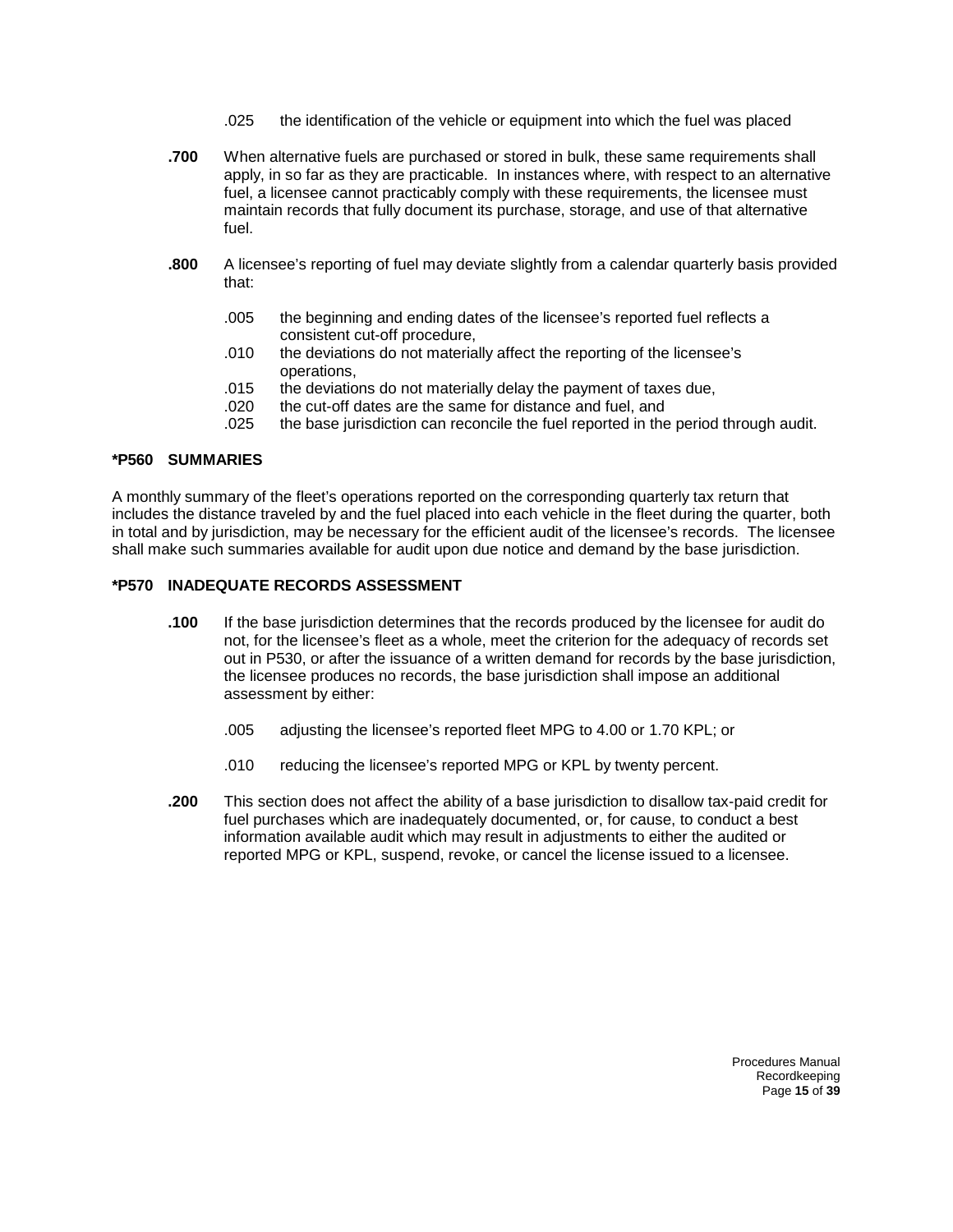- .025 the identification of the vehicle or equipment into which the fuel was placed
- **.700** When alternative fuels are purchased or stored in bulk, these same requirements shall apply, in so far as they are practicable. In instances where, with respect to an alternative fuel, a licensee cannot practicably comply with these requirements, the licensee must maintain records that fully document its purchase, storage, and use of that alternative fuel.
- **.800** A licensee's reporting of fuel may deviate slightly from a calendar quarterly basis provided that:
	- .005 the beginning and ending dates of the licensee's reported fuel reflects a consistent cut-off procedure,
	- .010 the deviations do not materially affect the reporting of the licensee's operations,
	- .015 the deviations do not materially delay the payment of taxes due,
	- .020 the cut-off dates are the same for distance and fuel, and
	- .025 the base jurisdiction can reconcile the fuel reported in the period through audit.

#### **\*P560 SUMMARIES**

A monthly summary of the fleet's operations reported on the corresponding quarterly tax return that includes the distance traveled by and the fuel placed into each vehicle in the fleet during the quarter, both in total and by jurisdiction, may be necessary for the efficient audit of the licensee's records. The licensee shall make such summaries available for audit upon due notice and demand by the base jurisdiction.

#### **\*P570 INADEQUATE RECORDS ASSESSMENT**

- **.100** If the base jurisdiction determines that the records produced by the licensee for audit do not, for the licensee's fleet as a whole, meet the criterion for the adequacy of records set out in P530, or after the issuance of a written demand for records by the base jurisdiction, the licensee produces no records, the base jurisdiction shall impose an additional assessment by either:
	- .005 adjusting the licensee's reported fleet MPG to 4.00 or 1.70 KPL; or
	- .010 reducing the licensee's reported MPG or KPL by twenty percent.
- **.200** This section does not affect the ability of a base jurisdiction to disallow tax-paid credit for fuel purchases which are inadequately documented, or, for cause, to conduct a best information available audit which may result in adjustments to either the audited or reported MPG or KPL, suspend, revoke, or cancel the license issued to a licensee.

Procedures Manual Recordkeeping Page **15** of **39**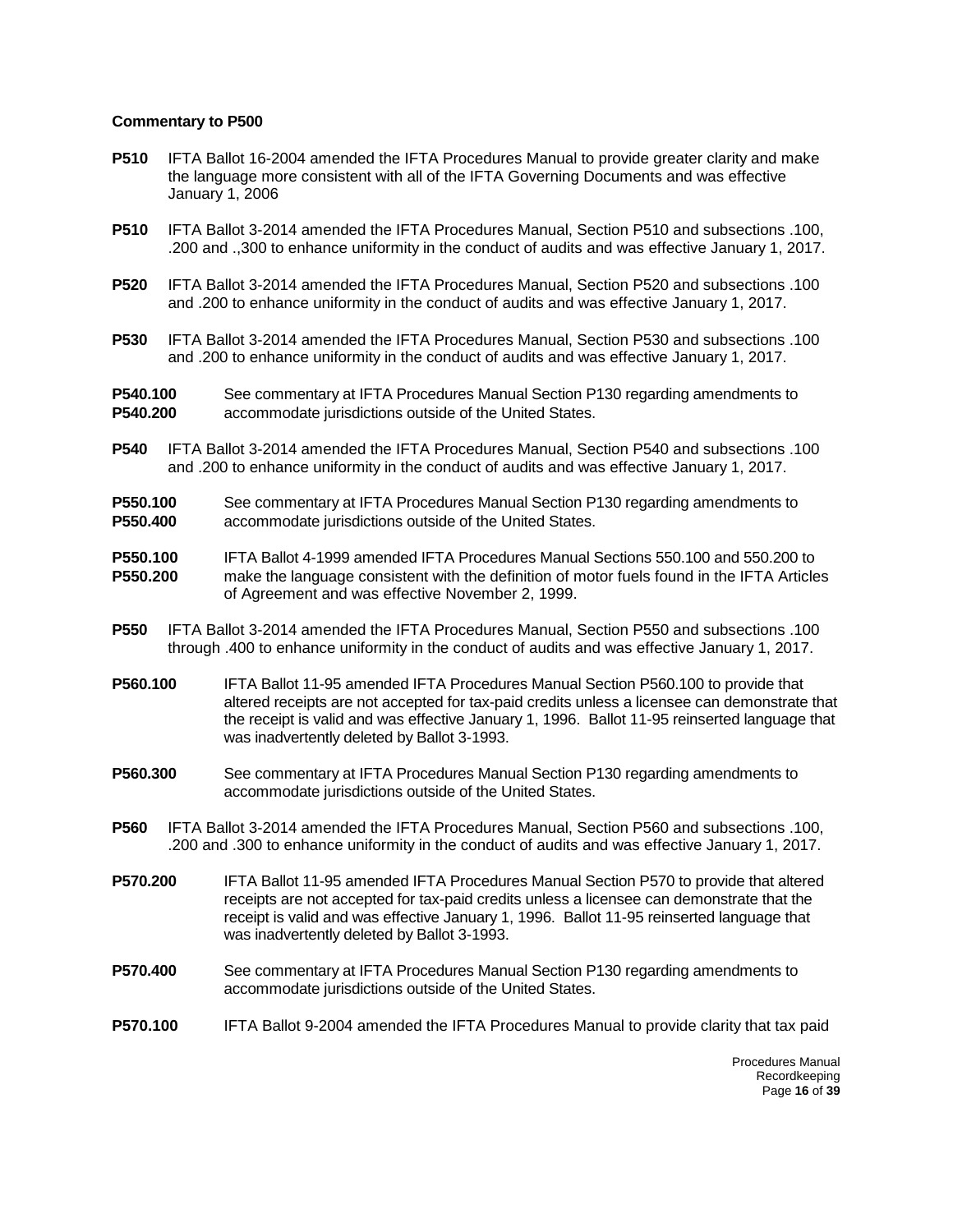- **P510** IFTA Ballot 16-2004 amended the IFTA Procedures Manual to provide greater clarity and make the language more consistent with all of the IFTA Governing Documents and was effective January 1, 2006
- **P510** IFTA Ballot 3-2014 amended the IFTA Procedures Manual, Section P510 and subsections .100, .200 and .,300 to enhance uniformity in the conduct of audits and was effective January 1, 2017.
- **P520** IFTA Ballot 3-2014 amended the IFTA Procedures Manual, Section P520 and subsections .100 and .200 to enhance uniformity in the conduct of audits and was effective January 1, 2017.
- **P530** IFTA Ballot 3-2014 amended the IFTA Procedures Manual, Section P530 and subsections .100 and .200 to enhance uniformity in the conduct of audits and was effective January 1, 2017.

**P540.100** See commentary at IFTA Procedures Manual Section P130 regarding amendments to<br>**P540.200** accommodate jurisdictions outside of the United States **P540.200** accommodate jurisdictions outside of the United States.

- **P540** IFTA Ballot 3-2014 amended the IFTA Procedures Manual, Section P540 and subsections .100 and .200 to enhance uniformity in the conduct of audits and was effective January 1, 2017.
- **P550.100** See commentary at IFTA Procedures Manual Section P130 regarding amendments to **P550.400** accommodate jurisdictions outside of the United States.
- **P550.100** IFTA Ballot 4-1999 amended IFTA Procedures Manual Sections 550.100 and 550.200 to **P550.200** make the language consistent with the definition of motor fuels found in the IFTA Articles of Agreement and was effective November 2, 1999.
- **P550** IFTA Ballot 3-2014 amended the IFTA Procedures Manual, Section P550 and subsections .100 through .400 to enhance uniformity in the conduct of audits and was effective January 1, 2017.
- **P560.100** IFTA Ballot 11-95 amended IFTA Procedures Manual Section P560.100 to provide that altered receipts are not accepted for tax-paid credits unless a licensee can demonstrate that the receipt is valid and was effective January 1, 1996. Ballot 11-95 reinserted language that was inadvertently deleted by Ballot 3-1993.
- **P560.300** See commentary at IFTA Procedures Manual Section P130 regarding amendments to accommodate jurisdictions outside of the United States.
- **P560** IFTA Ballot 3-2014 amended the IFTA Procedures Manual, Section P560 and subsections .100, .200 and .300 to enhance uniformity in the conduct of audits and was effective January 1, 2017.
- **P570.200** IFTA Ballot 11-95 amended IFTA Procedures Manual Section P570 to provide that altered receipts are not accepted for tax-paid credits unless a licensee can demonstrate that the receipt is valid and was effective January 1, 1996. Ballot 11-95 reinserted language that was inadvertently deleted by Ballot 3-1993.
- **P570.400** See commentary at IFTA Procedures Manual Section P130 regarding amendments to accommodate jurisdictions outside of the United States.
- **P570.100** IFTA Ballot 9-2004 amended the IFTA Procedures Manual to provide clarity that tax paid

Procedures Manual Recordkeeping Page **16** of **39**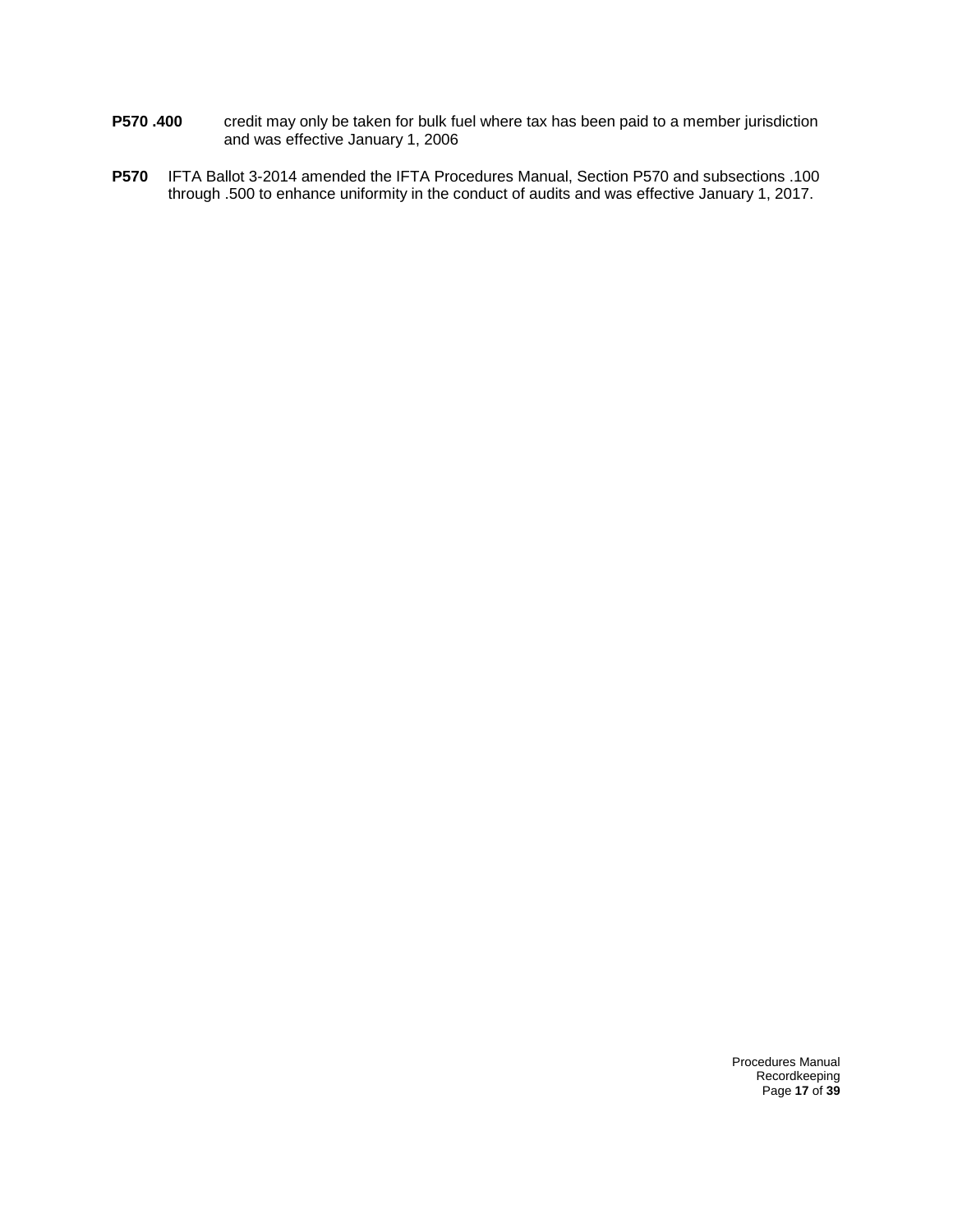- **P570 .400** credit may only be taken for bulk fuel where tax has been paid to a member jurisdiction and was effective January 1, 2006
- **P570** IFTA Ballot 3-2014 amended the IFTA Procedures Manual, Section P570 and subsections .100 through .500 to enhance uniformity in the conduct of audits and was effective January 1, 2017.

Procedures Manual Recordkeeping Page **17** of **39**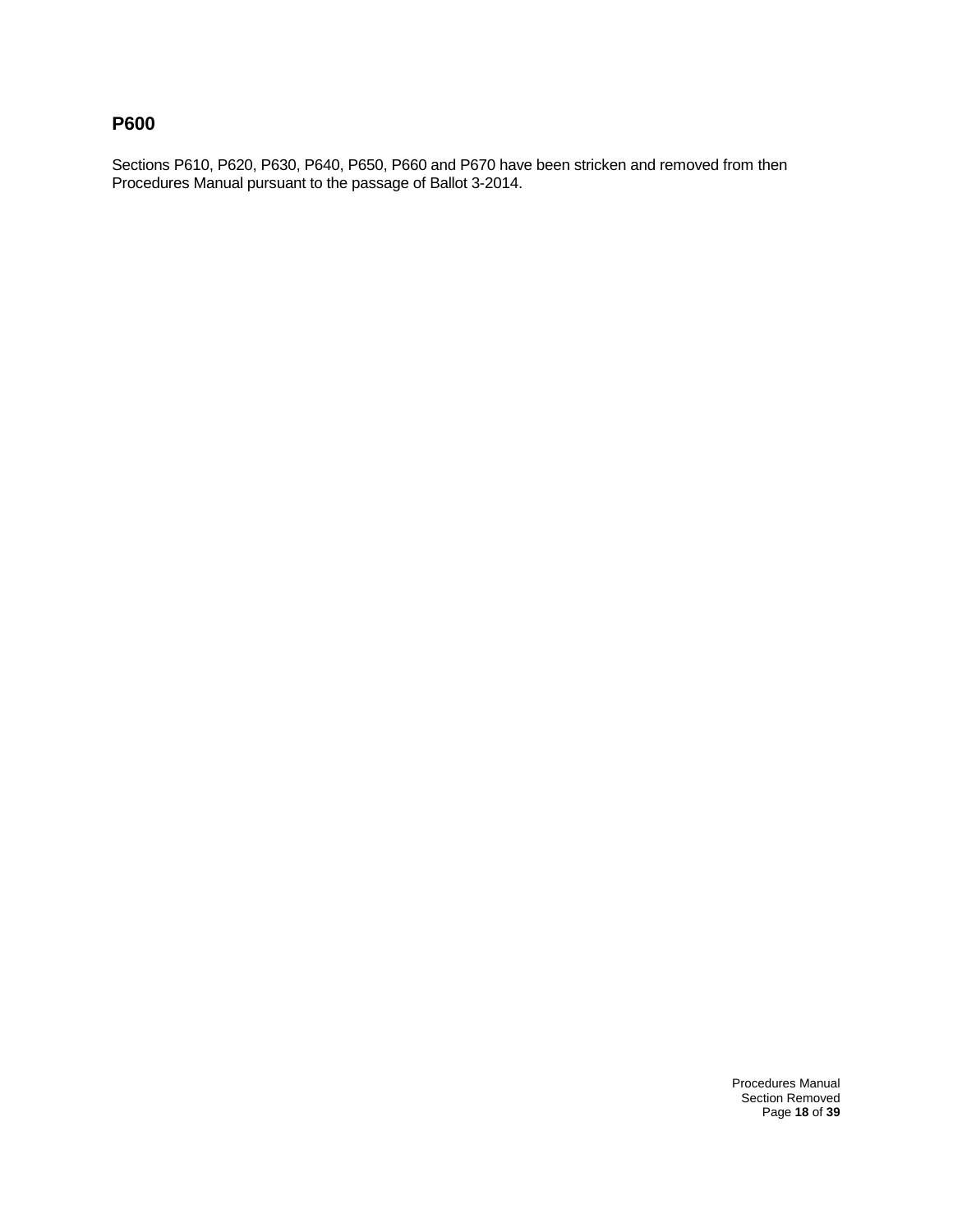# **P600**

Sections P610, P620, P630, P640, P650, P660 and P670 have been stricken and removed from then Procedures Manual pursuant to the passage of Ballot 3-2014.

> Procedures Manual Section Removed Page **18** of **39**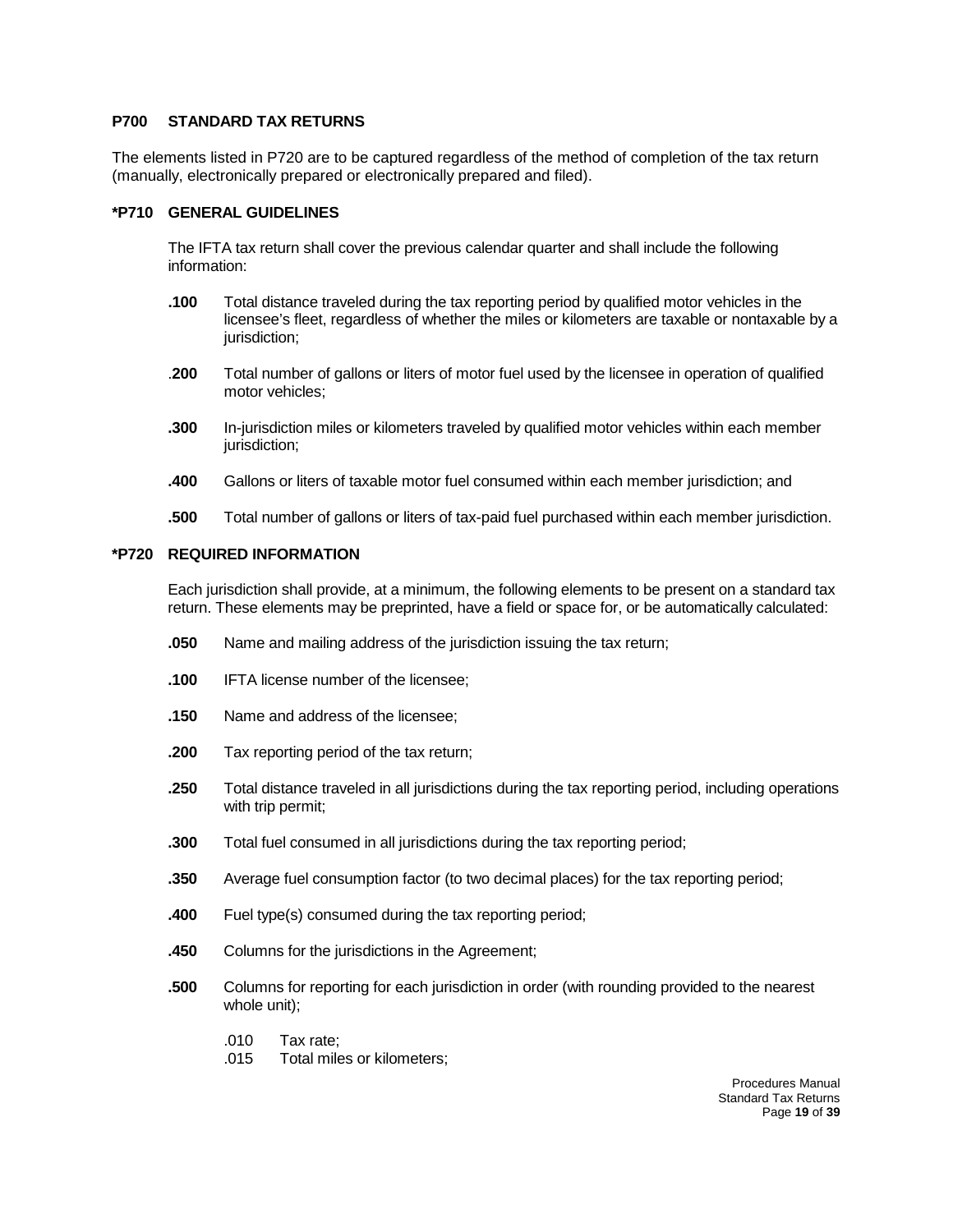#### **P700 STANDARD TAX RETURNS**

The elements listed in P720 are to be captured regardless of the method of completion of the tax return (manually, electronically prepared or electronically prepared and filed).

#### **\*P710 GENERAL GUIDELINES**

The IFTA tax return shall cover the previous calendar quarter and shall include the following information:

- **.100** Total distance traveled during the tax reporting period by qualified motor vehicles in the licensee's fleet, regardless of whether the miles or kilometers are taxable or nontaxable by a jurisdiction:
- .**200** Total number of gallons or liters of motor fuel used by the licensee in operation of qualified motor vehicles;
- **.300** In-jurisdiction miles or kilometers traveled by qualified motor vehicles within each member jurisdiction;
- **.400** Gallons or liters of taxable motor fuel consumed within each member jurisdiction; and
- **.500** Total number of gallons or liters of tax-paid fuel purchased within each member jurisdiction.

#### **\*P720 REQUIRED INFORMATION**

Each jurisdiction shall provide, at a minimum, the following elements to be present on a standard tax return. These elements may be preprinted, have a field or space for, or be automatically calculated:

- **.050** Name and mailing address of the jurisdiction issuing the tax return;
- **.100** IFTA license number of the licensee;
- **.150** Name and address of the licensee;
- **.200** Tax reporting period of the tax return;
- **.250** Total distance traveled in all jurisdictions during the tax reporting period, including operations with trip permit;
- **.300** Total fuel consumed in all jurisdictions during the tax reporting period;
- **.350** Average fuel consumption factor (to two decimal places) for the tax reporting period;
- **.400** Fuel type(s) consumed during the tax reporting period;
- **.450** Columns for the jurisdictions in the Agreement;
- **.500** Columns for reporting for each jurisdiction in order (with rounding provided to the nearest whole unit);
	- .010 Tax rate;
	- .015 Total miles or kilometers;

Procedures Manual Standard Tax Returns Page **19** of **39**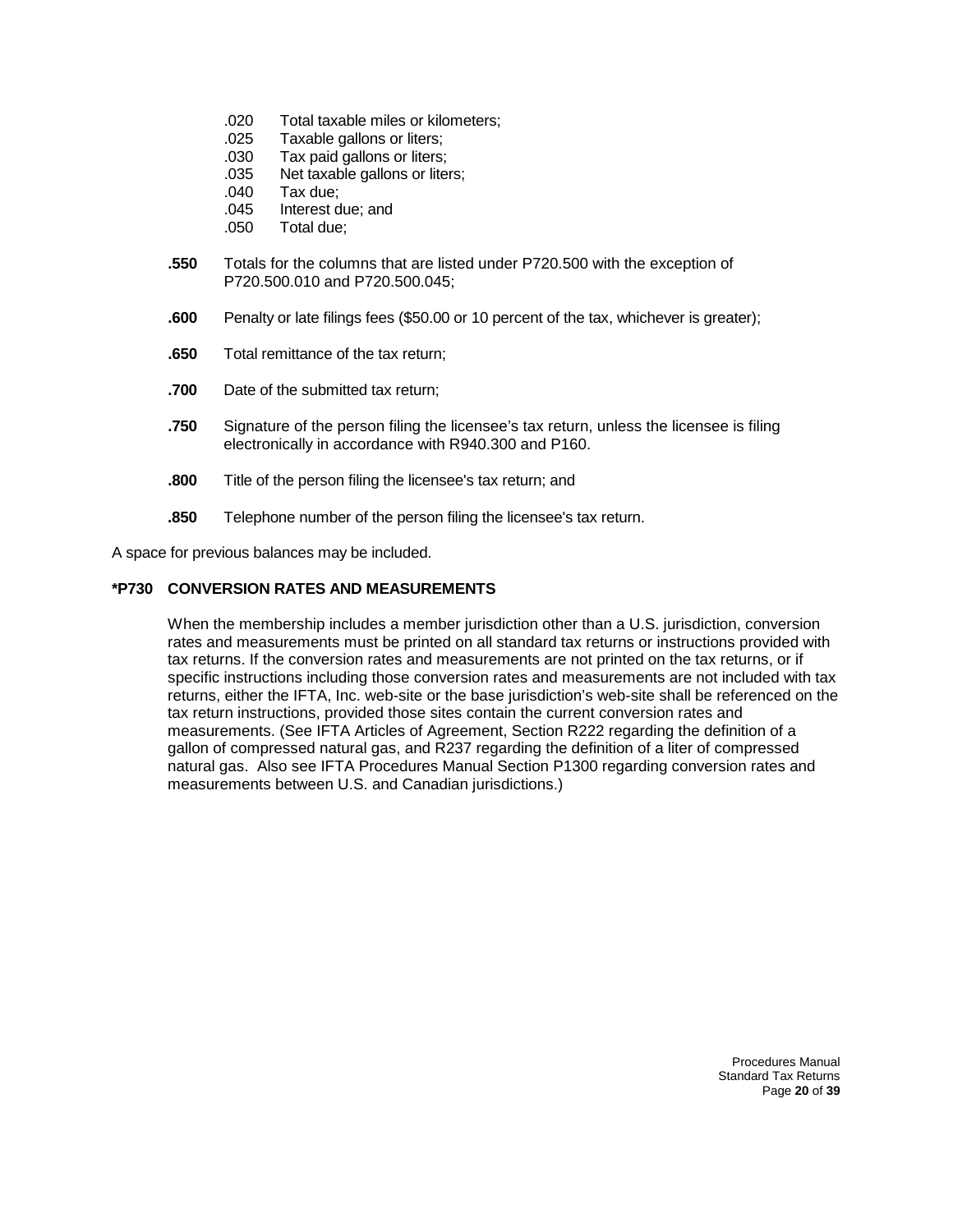- .020 Total taxable miles or kilometers;
- .025 Taxable gallons or liters;
- .030 Tax paid gallons or liters;
- .035 Net taxable gallons or liters;
- .040 Tax due;
- .045 Interest due; and
- .050 Total due;
- **.550** Totals for the columns that are listed under P720.500 with the exception of P720.500.010 and P720.500.045;
- **.600** Penalty or late filings fees (\$50.00 or 10 percent of the tax, whichever is greater);
- **.650** Total remittance of the tax return;
- **.700** Date of the submitted tax return;
- **.750** Signature of the person filing the licensee's tax return, unless the licensee is filing electronically in accordance with R940.300 and P160.
- **.800** Title of the person filing the licensee's tax return; and
- **.850** Telephone number of the person filing the licensee's tax return.

A space for previous balances may be included.

#### **\*P730 CONVERSION RATES AND MEASUREMENTS**

When the membership includes a member jurisdiction other than a U.S. jurisdiction, conversion rates and measurements must be printed on all standard tax returns or instructions provided with tax returns. If the conversion rates and measurements are not printed on the tax returns, or if specific instructions including those conversion rates and measurements are not included with tax returns, either the IFTA, Inc. web-site or the base jurisdiction's web-site shall be referenced on the tax return instructions, provided those sites contain the current conversion rates and measurements. (See IFTA Articles of Agreement, Section R222 regarding the definition of a gallon of compressed natural gas, and R237 regarding the definition of a liter of compressed natural gas. Also see IFTA Procedures Manual Section P1300 regarding conversion rates and measurements between U.S. and Canadian jurisdictions.)

> Procedures Manual Standard Tax Returns Page **20** of **39**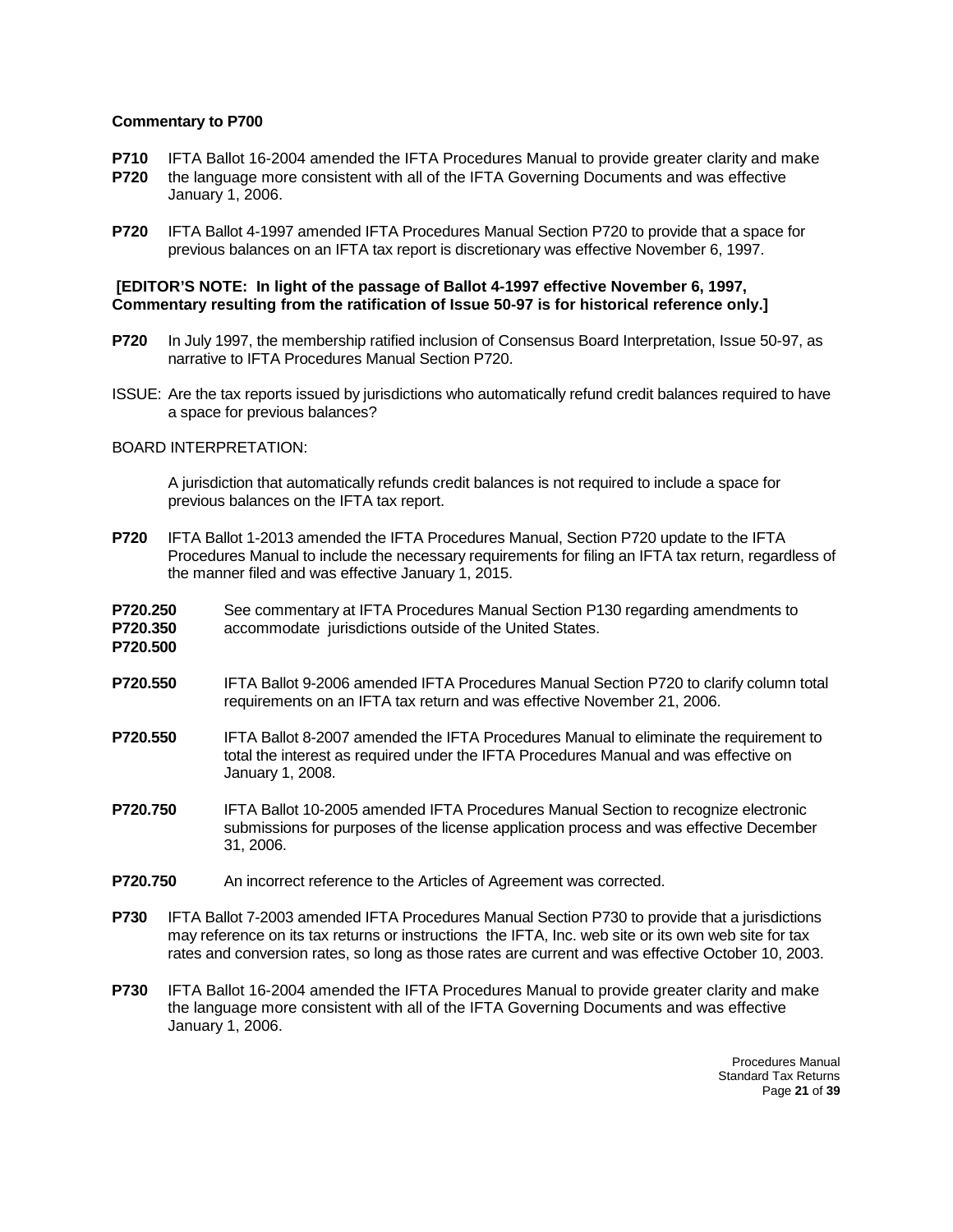- **P710** IFTA Ballot 16-2004 amended the IFTA Procedures Manual to provide greater clarity and make **P720** the language more consistent with all of the IFTA Governing Documents and was effective January 1, 2006.
- **P720** IFTA Ballot 4-1997 amended IFTA Procedures Manual Section P720 to provide that a space for previous balances on an IFTA tax report is discretionary was effective November 6, 1997.

#### **[EDITOR'S NOTE: In light of the passage of Ballot 4-1997 effective November 6, 1997, Commentary resulting from the ratification of Issue 50-97 is for historical reference only.]**

- **P720** In July 1997, the membership ratified inclusion of Consensus Board Interpretation, Issue 50-97, as narrative to IFTA Procedures Manual Section P720.
- ISSUE: Are the tax reports issued by jurisdictions who automatically refund credit balances required to have a space for previous balances?

#### BOARD INTERPRETATION:

A jurisdiction that automatically refunds credit balances is not required to include a space for previous balances on the IFTA tax report.

- **P720** IFTA Ballot 1-2013 amended the IFTA Procedures Manual, Section P720 update to the IFTA Procedures Manual to include the necessary requirements for filing an IFTA tax return, regardless of the manner filed and was effective January 1, 2015.
- **P720.250** See commentary at IFTA Procedures Manual Section P130 regarding amendments to
- **P720.350** accommodate jurisdictions outside of the United States. **P720.500**
- **P720.550** IFTA Ballot 9-2006 amended IFTA Procedures Manual Section P720 to clarify column total requirements on an IFTA tax return and was effective November 21, 2006.
- **P720.550** IFTA Ballot 8-2007 amended the IFTA Procedures Manual to eliminate the requirement to total the interest as required under the IFTA Procedures Manual and was effective on January 1, 2008.
- **P720.750** IFTA Ballot 10-2005 amended IFTA Procedures Manual Section to recognize electronic submissions for purposes of the license application process and was effective December 31, 2006.
- **P720.750** An incorrect reference to the Articles of Agreement was corrected.
- **P730** IFTA Ballot 7-2003 amended IFTA Procedures Manual Section P730 to provide that a jurisdictions may reference on its tax returns or instructions the IFTA, Inc. web site or its own web site for tax rates and conversion rates, so long as those rates are current and was effective October 10, 2003.
- **P730** IFTA Ballot 16-2004 amended the IFTA Procedures Manual to provide greater clarity and make the language more consistent with all of the IFTA Governing Documents and was effective January 1, 2006.

Procedures Manual Standard Tax Returns Page **21** of **39**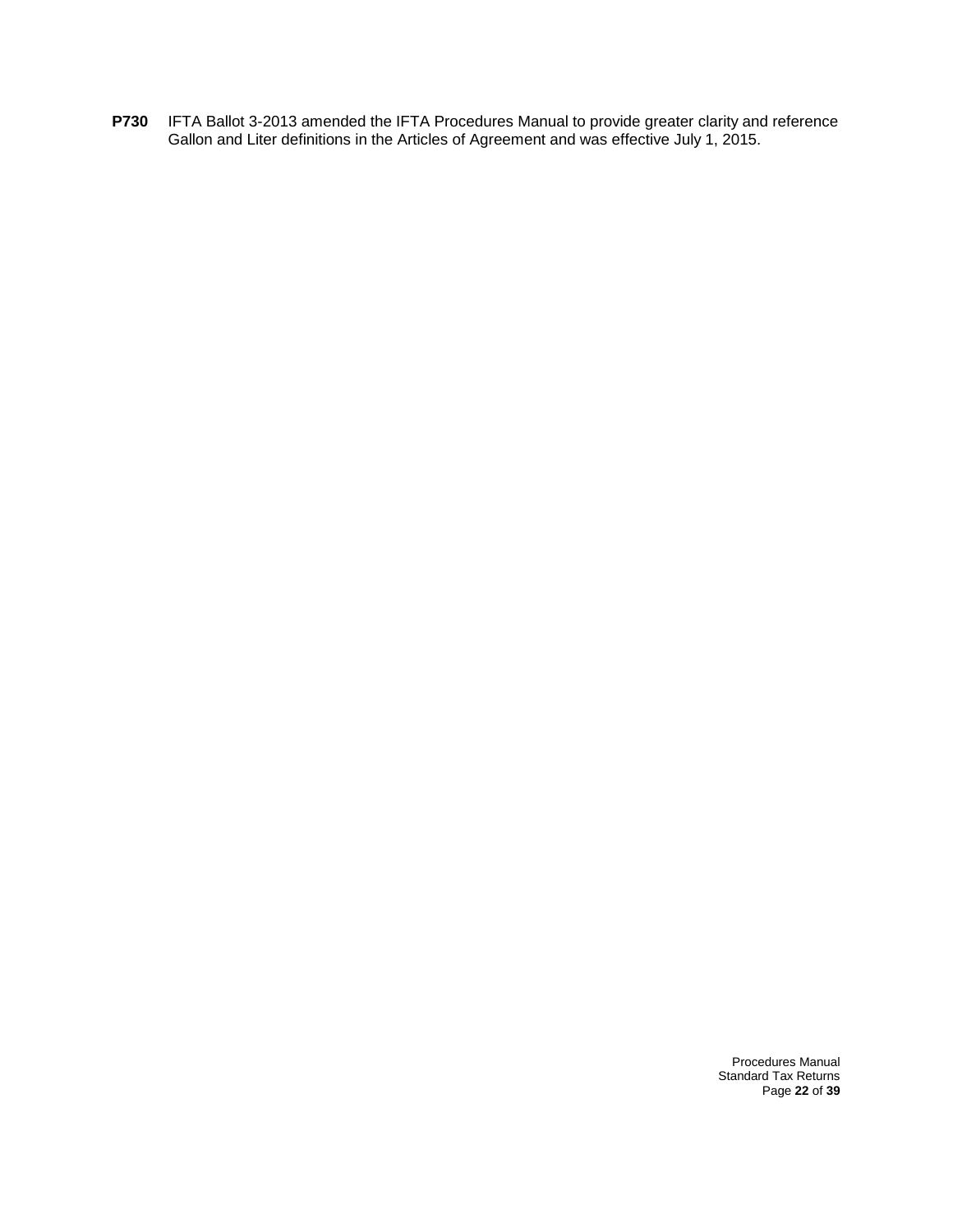**P730** IFTA Ballot 3-2013 amended the IFTA Procedures Manual to provide greater clarity and reference Gallon and Liter definitions in the Articles of Agreement and was effective July 1, 2015.

> Procedures Manual Standard Tax Returns Page **22** of **39**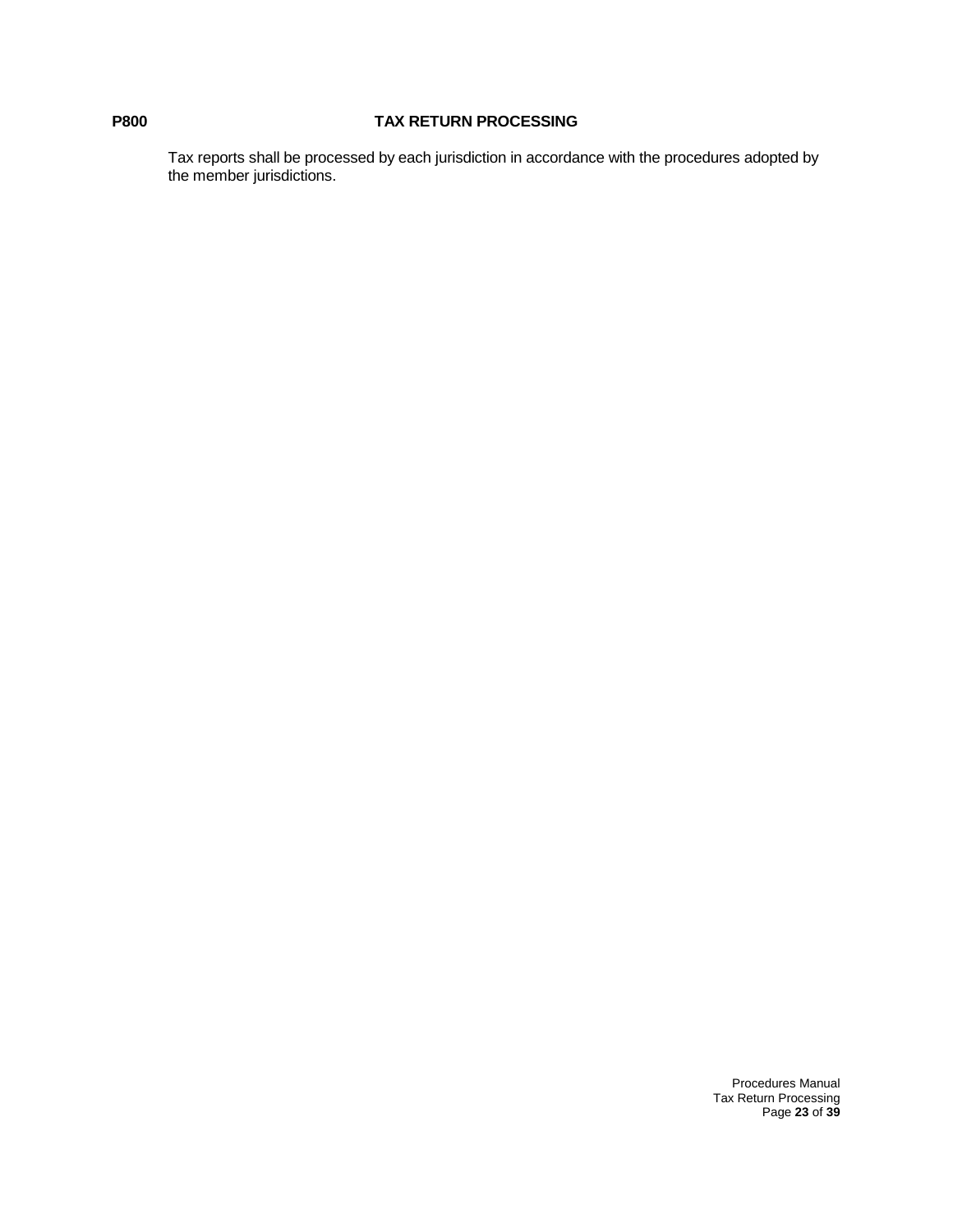## **P800 TAX RETURN PROCESSING**

Tax reports shall be processed by each jurisdiction in accordance with the procedures adopted by the member jurisdictions.

> Procedures Manual Tax Return Processing Page **23** of **39**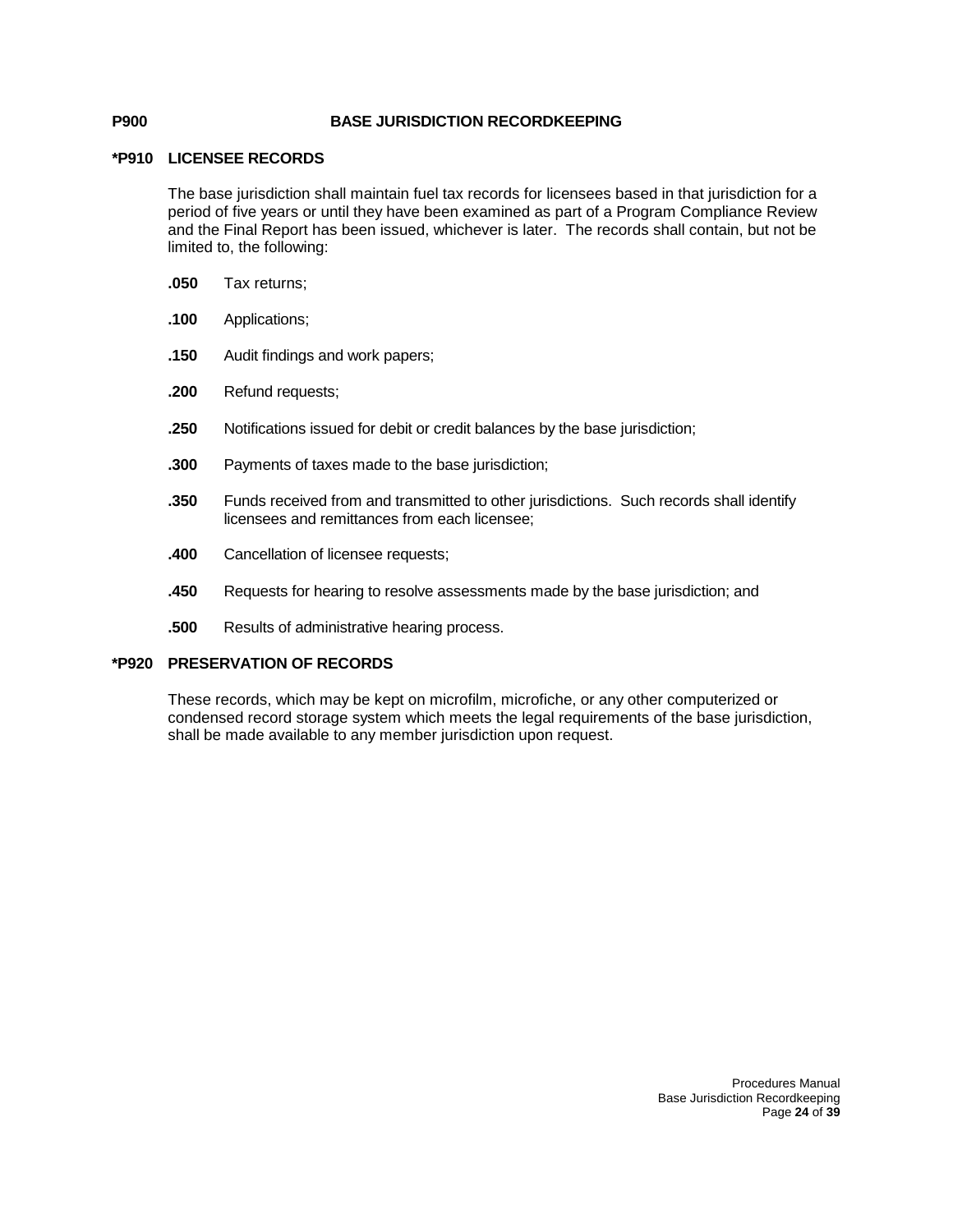#### **P900 BASE JURISDICTION RECORDKEEPING**

#### **\*P910 LICENSEE RECORDS**

The base jurisdiction shall maintain fuel tax records for licensees based in that jurisdiction for a period of five years or until they have been examined as part of a Program Compliance Review and the Final Report has been issued, whichever is later. The records shall contain, but not be limited to, the following:

- **.050** Tax returns;
- **.100** Applications;
- **.150** Audit findings and work papers;
- **.200** Refund requests;
- **.250** Notifications issued for debit or credit balances by the base jurisdiction;
- **.300** Payments of taxes made to the base jurisdiction;
- **.350** Funds received from and transmitted to other jurisdictions. Such records shall identify licensees and remittances from each licensee;
- **.400** Cancellation of licensee requests;
- **.450** Requests for hearing to resolve assessments made by the base jurisdiction; and
- **.500** Results of administrative hearing process.

### **\*P920 PRESERVATION OF RECORDS**

These records, which may be kept on microfilm, microfiche, or any other computerized or condensed record storage system which meets the legal requirements of the base jurisdiction, shall be made available to any member jurisdiction upon request.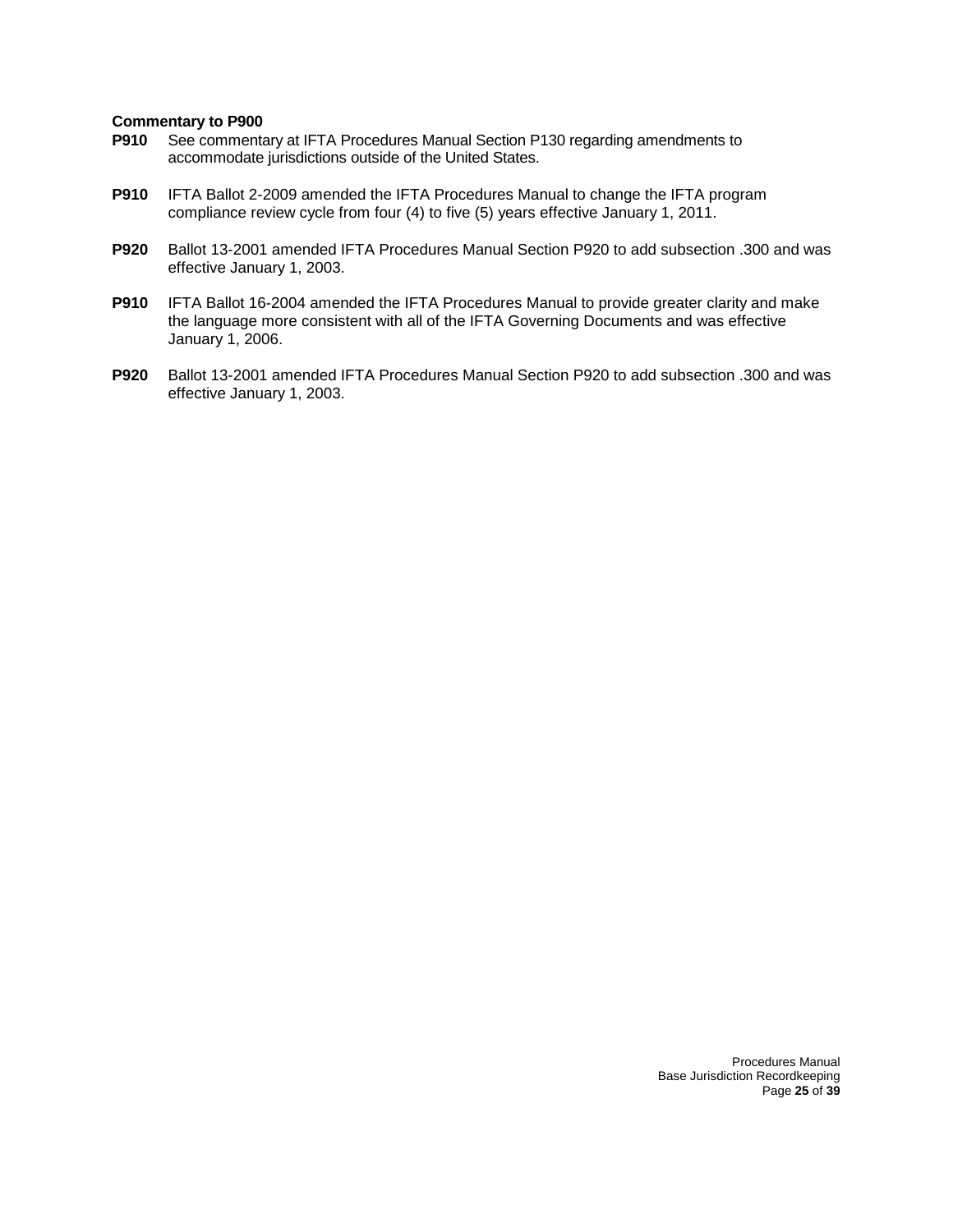- **P910** See commentary at IFTA Procedures Manual Section P130 regarding amendments to accommodate jurisdictions outside of the United States.
- **P910** IFTA Ballot 2-2009 amended the IFTA Procedures Manual to change the IFTA program compliance review cycle from four (4) to five (5) years effective January 1, 2011.
- **P920** Ballot 13-2001 amended IFTA Procedures Manual Section P920 to add subsection .300 and was effective January 1, 2003.
- **P910** IFTA Ballot 16-2004 amended the IFTA Procedures Manual to provide greater clarity and make the language more consistent with all of the IFTA Governing Documents and was effective January 1, 2006.
- **P920** Ballot 13-2001 amended IFTA Procedures Manual Section P920 to add subsection .300 and was effective January 1, 2003.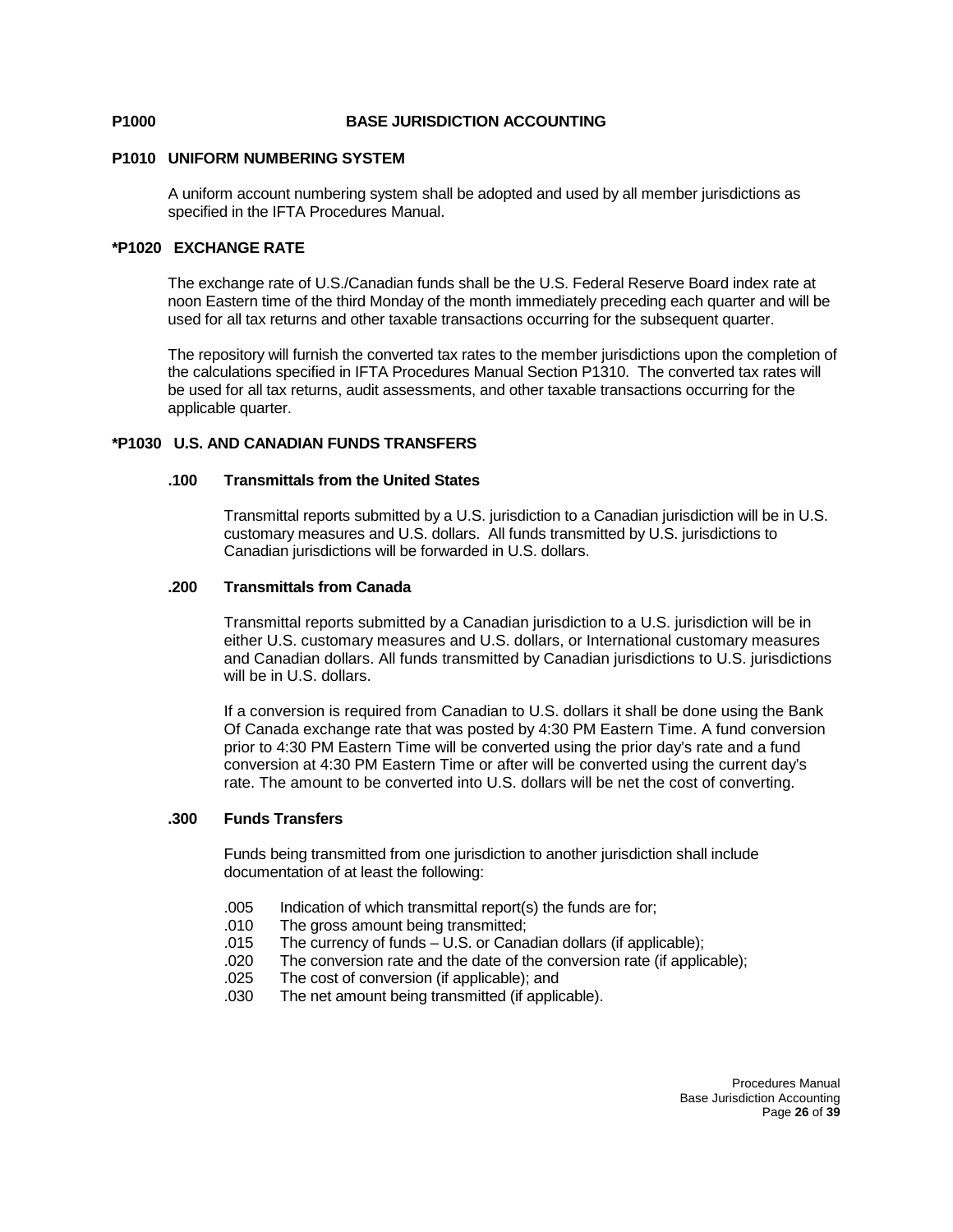#### **P1000 BASE JURISDICTION ACCOUNTING**

#### **P1010 UNIFORM NUMBERING SYSTEM**

A uniform account numbering system shall be adopted and used by all member jurisdictions as specified in the IFTA Procedures Manual.

#### **\*P1020 EXCHANGE RATE**

The exchange rate of U.S./Canadian funds shall be the U.S. Federal Reserve Board index rate at noon Eastern time of the third Monday of the month immediately preceding each quarter and will be used for all tax returns and other taxable transactions occurring for the subsequent quarter.

The repository will furnish the converted tax rates to the member jurisdictions upon the completion of the calculations specified in IFTA Procedures Manual Section P1310. The converted tax rates will be used for all tax returns, audit assessments, and other taxable transactions occurring for the applicable quarter.

#### **\*P1030 U.S. AND CANADIAN FUNDS TRANSFERS**

#### **.100 Transmittals from the United States**

Transmittal reports submitted by a U.S. jurisdiction to a Canadian jurisdiction will be in U.S. customary measures and U.S. dollars. All funds transmitted by U.S. jurisdictions to Canadian jurisdictions will be forwarded in U.S. dollars.

#### **.200 Transmittals from Canada**

Transmittal reports submitted by a Canadian jurisdiction to a U.S. jurisdiction will be in either U.S. customary measures and U.S. dollars, or International customary measures and Canadian dollars. All funds transmitted by Canadian jurisdictions to U.S. jurisdictions will be in U.S. dollars.

If a conversion is required from Canadian to U.S. dollars it shall be done using the Bank Of Canada exchange rate that was posted by 4:30 PM Eastern Time. A fund conversion prior to 4:30 PM Eastern Time will be converted using the prior day's rate and a fund conversion at 4:30 PM Eastern Time or after will be converted using the current day's rate. The amount to be converted into U.S. dollars will be net the cost of converting.

#### **.300 Funds Transfers**

Funds being transmitted from one jurisdiction to another jurisdiction shall include documentation of at least the following:

- .005 Indication of which transmittal report(s) the funds are for;
- .010 The gross amount being transmitted;
- .015 The currency of funds U.S. or Canadian dollars (if applicable);
- .020 The conversion rate and the date of the conversion rate (if applicable);
- .025 The cost of conversion (if applicable); and
- The net amount being transmitted (if applicable).

Procedures Manual Base Jurisdiction Accounting Page **26** of **39**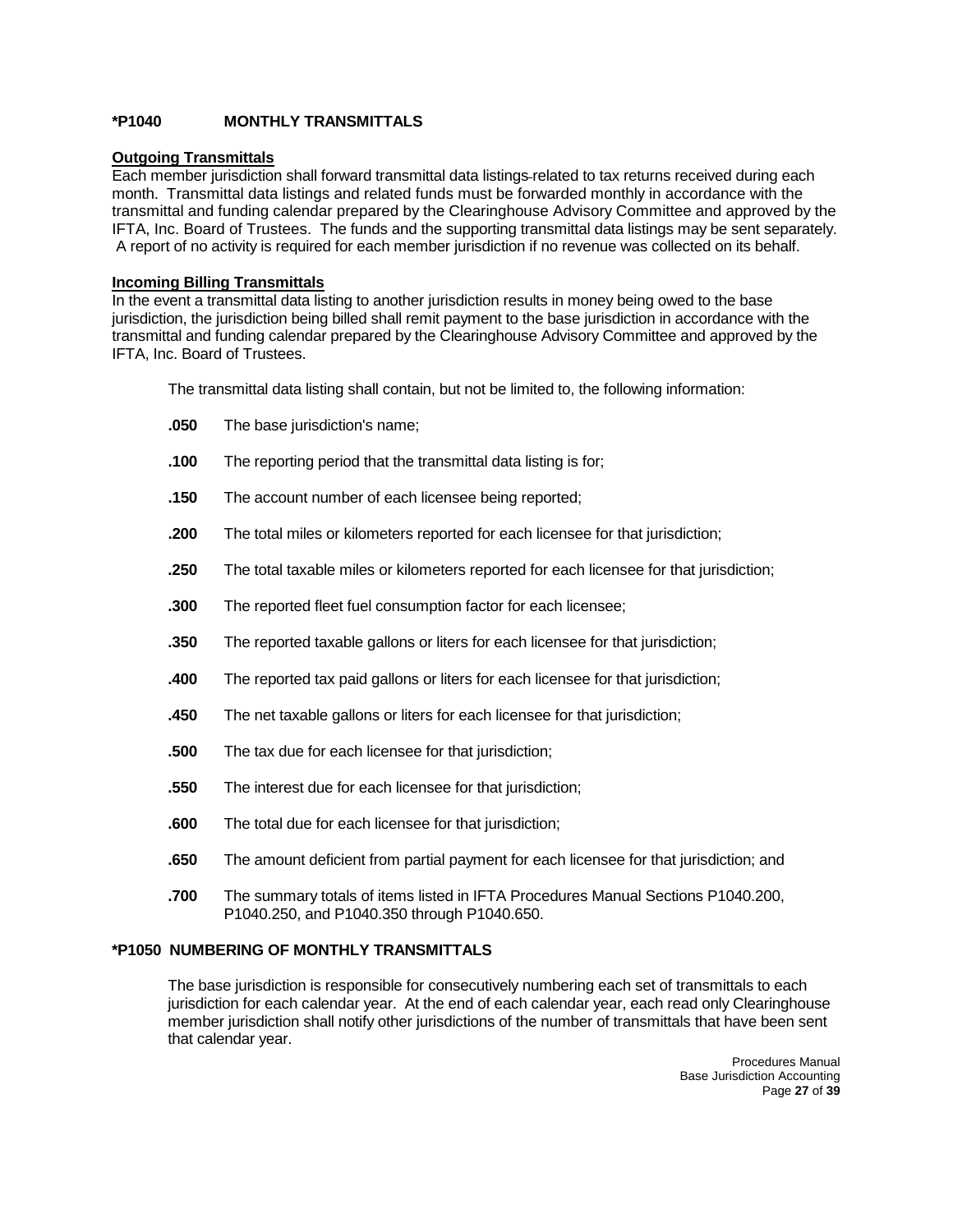### **\*P1040 MONTHLY TRANSMITTALS**

### **Outgoing Transmittals**

Each member jurisdiction shall forward transmittal data listings related to tax returns received during each month. Transmittal data listings and related funds must be forwarded monthly in accordance with the transmittal and funding calendar prepared by the Clearinghouse Advisory Committee and approved by the IFTA, Inc. Board of Trustees. The funds and the supporting transmittal data listings may be sent separately. A report of no activity is required for each member jurisdiction if no revenue was collected on its behalf.

#### **Incoming Billing Transmittals**

In the event a transmittal data listing to another jurisdiction results in money being owed to the base jurisdiction, the jurisdiction being billed shall remit payment to the base jurisdiction in accordance with the transmittal and funding calendar prepared by the Clearinghouse Advisory Committee and approved by the IFTA, Inc. Board of Trustees.

The transmittal data listing shall contain, but not be limited to, the following information:

- **.050** The base jurisdiction's name;
- **.100** The reporting period that the transmittal data listing is for;
- **.150** The account number of each licensee being reported;
- **.200** The total miles or kilometers reported for each licensee for that jurisdiction;
- **.250** The total taxable miles or kilometers reported for each licensee for that jurisdiction;
- **.300** The reported fleet fuel consumption factor for each licensee;
- **.350** The reported taxable gallons or liters for each licensee for that jurisdiction;
- **.400** The reported tax paid gallons or liters for each licensee for that jurisdiction;
- **.450** The net taxable gallons or liters for each licensee for that jurisdiction;
- **.500** The tax due for each licensee for that jurisdiction;
- **.550** The interest due for each licensee for that jurisdiction;
- **.600** The total due for each licensee for that jurisdiction;
- **.650** The amount deficient from partial payment for each licensee for that jurisdiction; and
- **.700** The summary totals of items listed in IFTA Procedures Manual Sections P1040.200, P1040.250, and P1040.350 through P1040.650.

### **\*P1050 NUMBERING OF MONTHLY TRANSMITTALS**

The base jurisdiction is responsible for consecutively numbering each set of transmittals to each jurisdiction for each calendar year. At the end of each calendar year, each read only Clearinghouse member jurisdiction shall notify other jurisdictions of the number of transmittals that have been sent that calendar year.

> Procedures Manual Base Jurisdiction Accounting Page **27** of **39**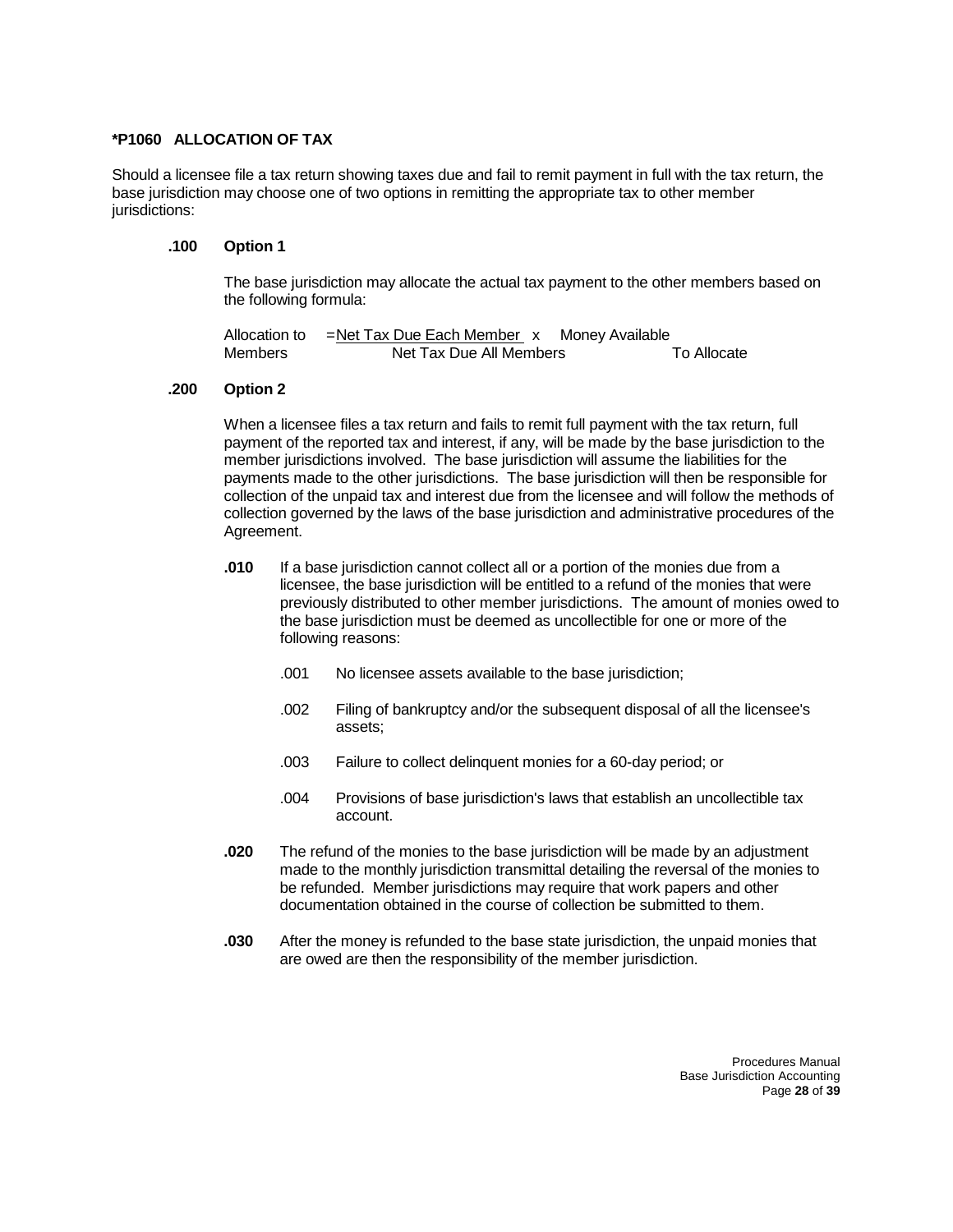#### **\*P1060 ALLOCATION OF TAX**

Should a licensee file a tax return showing taxes due and fail to remit payment in full with the tax return, the base jurisdiction may choose one of two options in remitting the appropriate tax to other member jurisdictions:

#### **.100 Option 1**

The base jurisdiction may allocate the actual tax payment to the other members based on the following formula:

| Allocation to | =Net Tax Due Each Member_x Money Available |             |
|---------------|--------------------------------------------|-------------|
| Members       | Net Tax Due All Members                    | To Allocate |

#### **.200 Option 2**

When a licensee files a tax return and fails to remit full payment with the tax return, full payment of the reported tax and interest, if any, will be made by the base jurisdiction to the member jurisdictions involved. The base jurisdiction will assume the liabilities for the payments made to the other jurisdictions. The base jurisdiction will then be responsible for collection of the unpaid tax and interest due from the licensee and will follow the methods of collection governed by the laws of the base jurisdiction and administrative procedures of the Agreement.

- **.010** If a base jurisdiction cannot collect all or a portion of the monies due from a licensee, the base jurisdiction will be entitled to a refund of the monies that were previously distributed to other member jurisdictions. The amount of monies owed to the base jurisdiction must be deemed as uncollectible for one or more of the following reasons:
	- .001 No licensee assets available to the base jurisdiction;
	- .002 Filing of bankruptcy and/or the subsequent disposal of all the licensee's assets;
	- .003 Failure to collect delinquent monies for a 60-day period; or
	- .004 Provisions of base jurisdiction's laws that establish an uncollectible tax account.
- **.020** The refund of the monies to the base jurisdiction will be made by an adjustment made to the monthly jurisdiction transmittal detailing the reversal of the monies to be refunded. Member jurisdictions may require that work papers and other documentation obtained in the course of collection be submitted to them.
- **.030** After the money is refunded to the base state jurisdiction, the unpaid monies that are owed are then the responsibility of the member jurisdiction.

Procedures Manual Base Jurisdiction Accounting Page **28** of **39**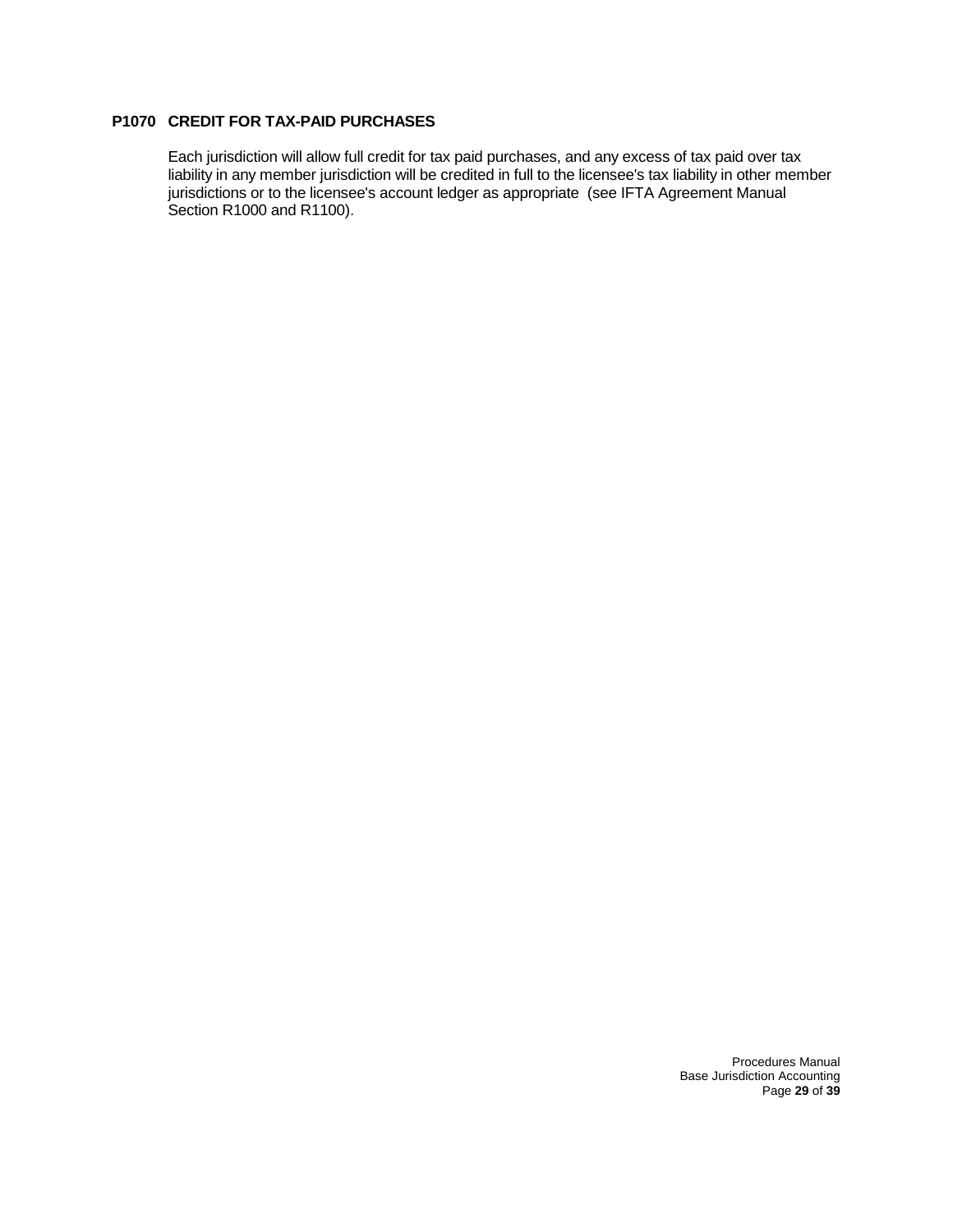### **P1070 CREDIT FOR TAX-PAID PURCHASES**

Each jurisdiction will allow full credit for tax paid purchases, and any excess of tax paid over tax liability in any member jurisdiction will be credited in full to the licensee's tax liability in other member jurisdictions or to the licensee's account ledger as appropriate (see IFTA Agreement Manual Section R1000 and R1100).

> Procedures Manual Base Jurisdiction Accounting Page **29** of **39**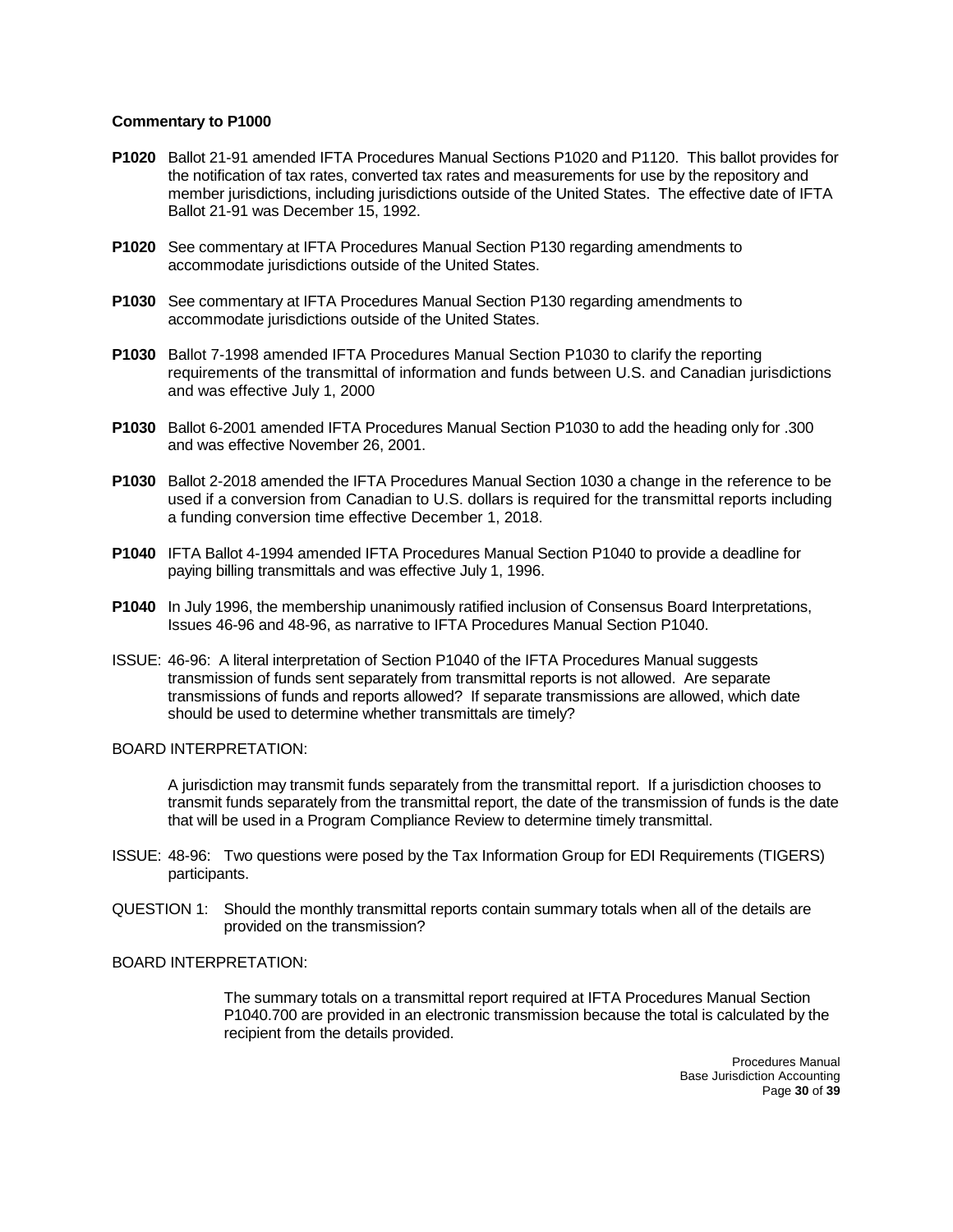- **P1020** Ballot 21-91 amended IFTA Procedures Manual Sections P1020 and P1120. This ballot provides for the notification of tax rates, converted tax rates and measurements for use by the repository and member jurisdictions, including jurisdictions outside of the United States. The effective date of IFTA Ballot 21-91 was December 15, 1992.
- **P1020** See commentary at IFTA Procedures Manual Section P130 regarding amendments to accommodate jurisdictions outside of the United States.
- **P1030** See commentary at IFTA Procedures Manual Section P130 regarding amendments to accommodate jurisdictions outside of the United States.
- **P1030** Ballot 7-1998 amended IFTA Procedures Manual Section P1030 to clarify the reporting requirements of the transmittal of information and funds between U.S. and Canadian jurisdictions and was effective July 1, 2000
- **P1030** Ballot 6-2001 amended IFTA Procedures Manual Section P1030 to add the heading only for .300 and was effective November 26, 2001.
- **P1030** Ballot 2-2018 amended the IFTA Procedures Manual Section 1030 a change in the reference to be used if a conversion from Canadian to U.S. dollars is required for the transmittal reports including a funding conversion time effective December 1, 2018.
- **P1040** IFTA Ballot 4-1994 amended IFTA Procedures Manual Section P1040 to provide a deadline for paying billing transmittals and was effective July 1, 1996.
- **P1040** In July 1996, the membership unanimously ratified inclusion of Consensus Board Interpretations, Issues 46-96 and 48-96, as narrative to IFTA Procedures Manual Section P1040.
- ISSUE: 46-96: A literal interpretation of Section P1040 of the IFTA Procedures Manual suggests transmission of funds sent separately from transmittal reports is not allowed. Are separate transmissions of funds and reports allowed? If separate transmissions are allowed, which date should be used to determine whether transmittals are timely?

#### BOARD INTERPRETATION:

A jurisdiction may transmit funds separately from the transmittal report. If a jurisdiction chooses to transmit funds separately from the transmittal report, the date of the transmission of funds is the date that will be used in a Program Compliance Review to determine timely transmittal.

- ISSUE: 48-96: Two questions were posed by the Tax Information Group for EDI Requirements (TIGERS) participants.
- QUESTION 1: Should the monthly transmittal reports contain summary totals when all of the details are provided on the transmission?

#### BOARD INTERPRETATION:

The summary totals on a transmittal report required at IFTA Procedures Manual Section P1040.700 are provided in an electronic transmission because the total is calculated by the recipient from the details provided.

> Procedures Manual Base Jurisdiction Accounting Page **30** of **39**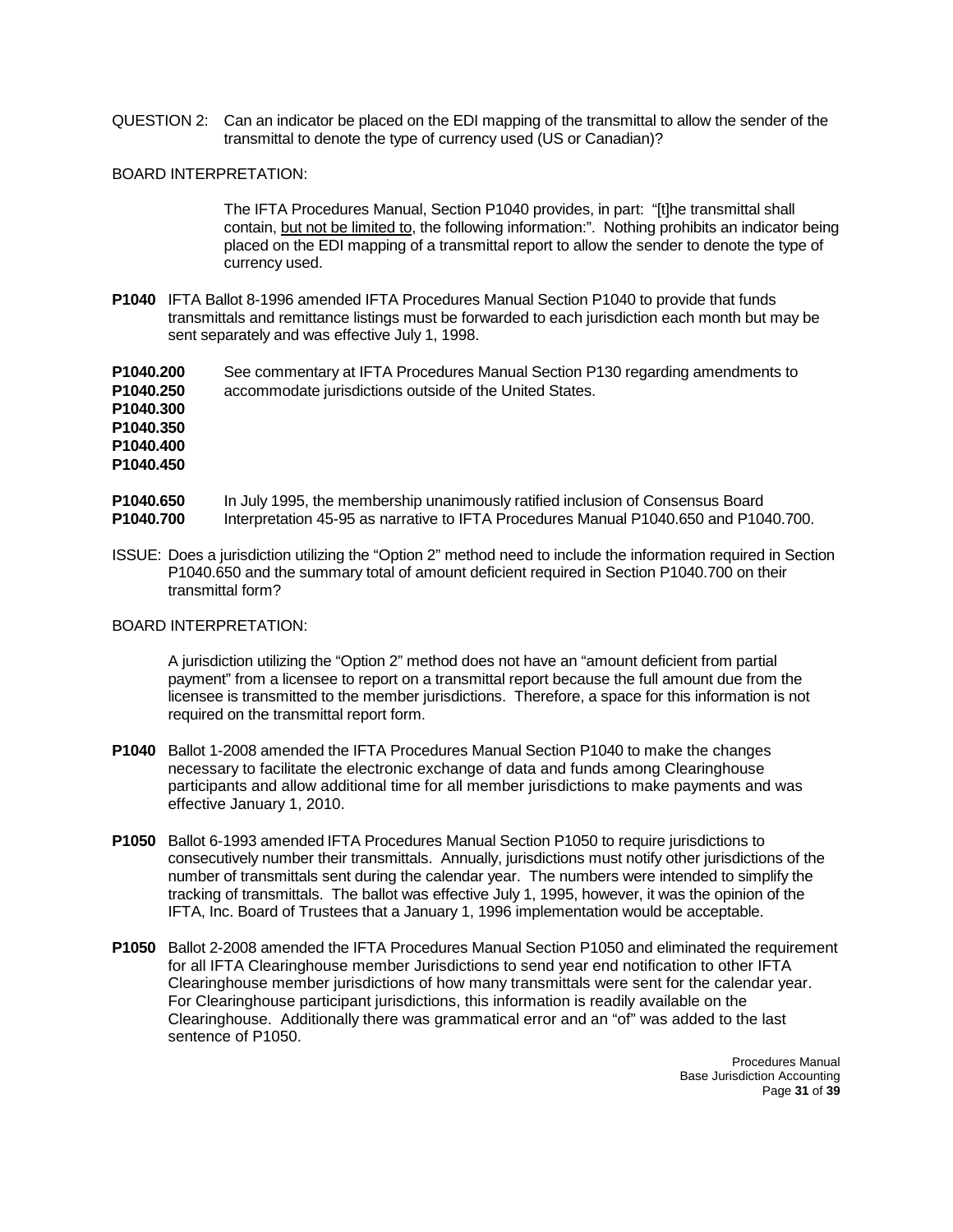QUESTION 2: Can an indicator be placed on the EDI mapping of the transmittal to allow the sender of the transmittal to denote the type of currency used (US or Canadian)?

### BOARD INTERPRETATION:

The IFTA Procedures Manual, Section P1040 provides, in part: "[t]he transmittal shall contain, but not be limited to, the following information:". Nothing prohibits an indicator being placed on the EDI mapping of a transmittal report to allow the sender to denote the type of currency used.

**P1040** IFTA Ballot 8-1996 amended IFTA Procedures Manual Section P1040 to provide that funds transmittals and remittance listings must be forwarded to each jurisdiction each month but may be sent separately and was effective July 1, 1998.

**P1040.200** See commentary at IFTA Procedures Manual Section P130 regarding amendments to **P1040.250** accommodate jurisdictions outside of the United States. **P1040.300 P1040.350 P1040.400 P1040.450**

- **P1040.650** In July 1995, the membership unanimously ratified inclusion of Consensus Board **P1040.700** Interpretation 45-95 as narrative to IFTA Procedures Manual P1040.650 and P1040.700.
- ISSUE: Does a jurisdiction utilizing the "Option 2" method need to include the information required in Section P1040.650 and the summary total of amount deficient required in Section P1040.700 on their transmittal form?

#### BOARD INTERPRETATION:

A jurisdiction utilizing the "Option 2" method does not have an "amount deficient from partial payment" from a licensee to report on a transmittal report because the full amount due from the licensee is transmitted to the member jurisdictions. Therefore, a space for this information is not required on the transmittal report form.

- **P1040** Ballot 1-2008 amended the IFTA Procedures Manual Section P1040 to make the changes necessary to facilitate the electronic exchange of data and funds among Clearinghouse participants and allow additional time for all member jurisdictions to make payments and was effective January 1, 2010.
- **P1050** Ballot 6-1993 amended IFTA Procedures Manual Section P1050 to require jurisdictions to consecutively number their transmittals. Annually, jurisdictions must notify other jurisdictions of the number of transmittals sent during the calendar year. The numbers were intended to simplify the tracking of transmittals. The ballot was effective July 1, 1995, however, it was the opinion of the IFTA, Inc. Board of Trustees that a January 1, 1996 implementation would be acceptable.
- **P1050** Ballot 2-2008 amended the IFTA Procedures Manual Section P1050 and eliminated the requirement for all IFTA Clearinghouse member Jurisdictions to send year end notification to other IFTA Clearinghouse member jurisdictions of how many transmittals were sent for the calendar year. For Clearinghouse participant jurisdictions, this information is readily available on the Clearinghouse. Additionally there was grammatical error and an "of" was added to the last sentence of P1050.

Procedures Manual Base Jurisdiction Accounting Page **31** of **39**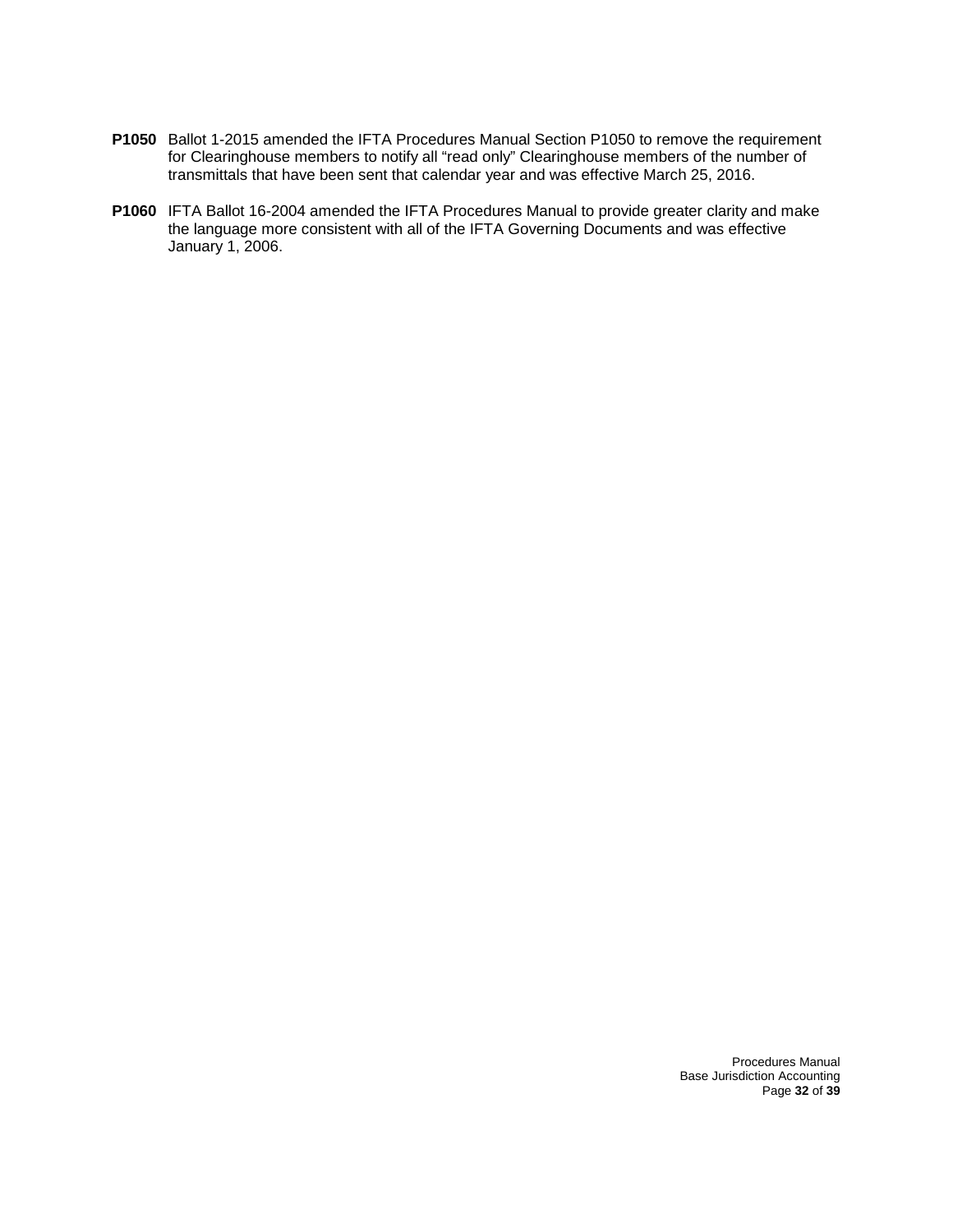- **P1050** Ballot 1-2015 amended the IFTA Procedures Manual Section P1050 to remove the requirement for Clearinghouse members to notify all "read only" Clearinghouse members of the number of transmittals that have been sent that calendar year and was effective March 25, 2016.
- **P1060** IFTA Ballot 16-2004 amended the IFTA Procedures Manual to provide greater clarity and make the language more consistent with all of the IFTA Governing Documents and was effective January 1, 2006.

Procedures Manual Base Jurisdiction Accounting Page **32** of **39**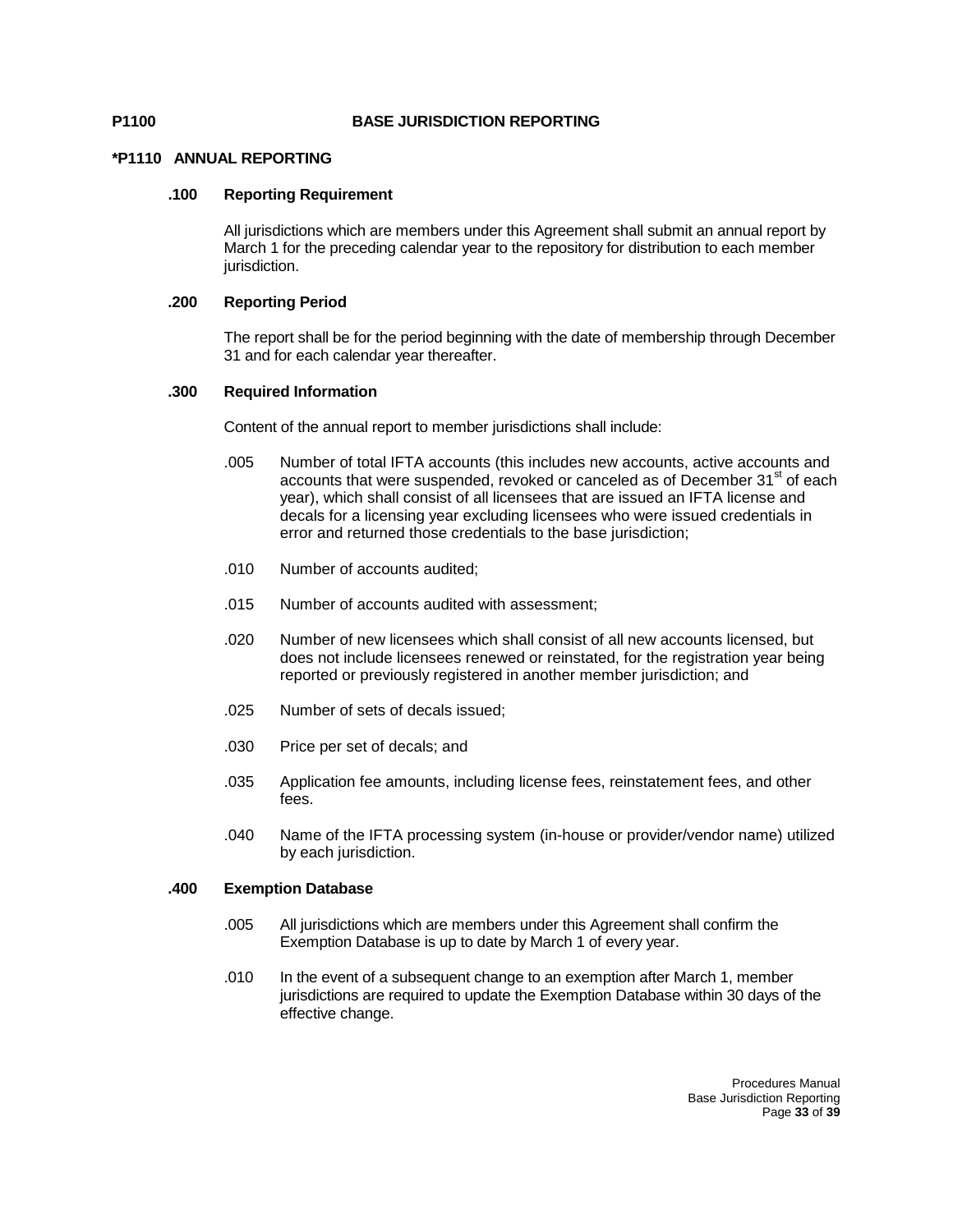#### **P1100 BASE JURISDICTION REPORTING**

#### **\*P1110 ANNUAL REPORTING**

#### **.100 Reporting Requirement**

All jurisdictions which are members under this Agreement shall submit an annual report by March 1 for the preceding calendar year to the repository for distribution to each member jurisdiction.

### **.200 Reporting Period**

The report shall be for the period beginning with the date of membership through December 31 and for each calendar year thereafter.

#### **.300 Required Information**

Content of the annual report to member jurisdictions shall include:

- .005 Number of total IFTA accounts (this includes new accounts, active accounts and accounts that were suspended, revoked or canceled as of December 31<sup>st</sup> of each year), which shall consist of all licensees that are issued an IFTA license and decals for a licensing year excluding licensees who were issued credentials in error and returned those credentials to the base jurisdiction;
- .010 Number of accounts audited;
- .015 Number of accounts audited with assessment;
- .020 Number of new licensees which shall consist of all new accounts licensed, but does not include licensees renewed or reinstated, for the registration year being reported or previously registered in another member jurisdiction; and
- .025 Number of sets of decals issued;
- .030 Price per set of decals; and
- .035 Application fee amounts, including license fees, reinstatement fees, and other fees.
- .040 Name of the IFTA processing system (in-house or provider/vendor name) utilized by each jurisdiction.

#### **.400 Exemption Database**

- .005 All jurisdictions which are members under this Agreement shall confirm the Exemption Database is up to date by March 1 of every year.
- .010 In the event of a subsequent change to an exemption after March 1, member jurisdictions are required to update the Exemption Database within 30 days of the effective change.

Procedures Manual Base Jurisdiction Reporting Page **33** of **39**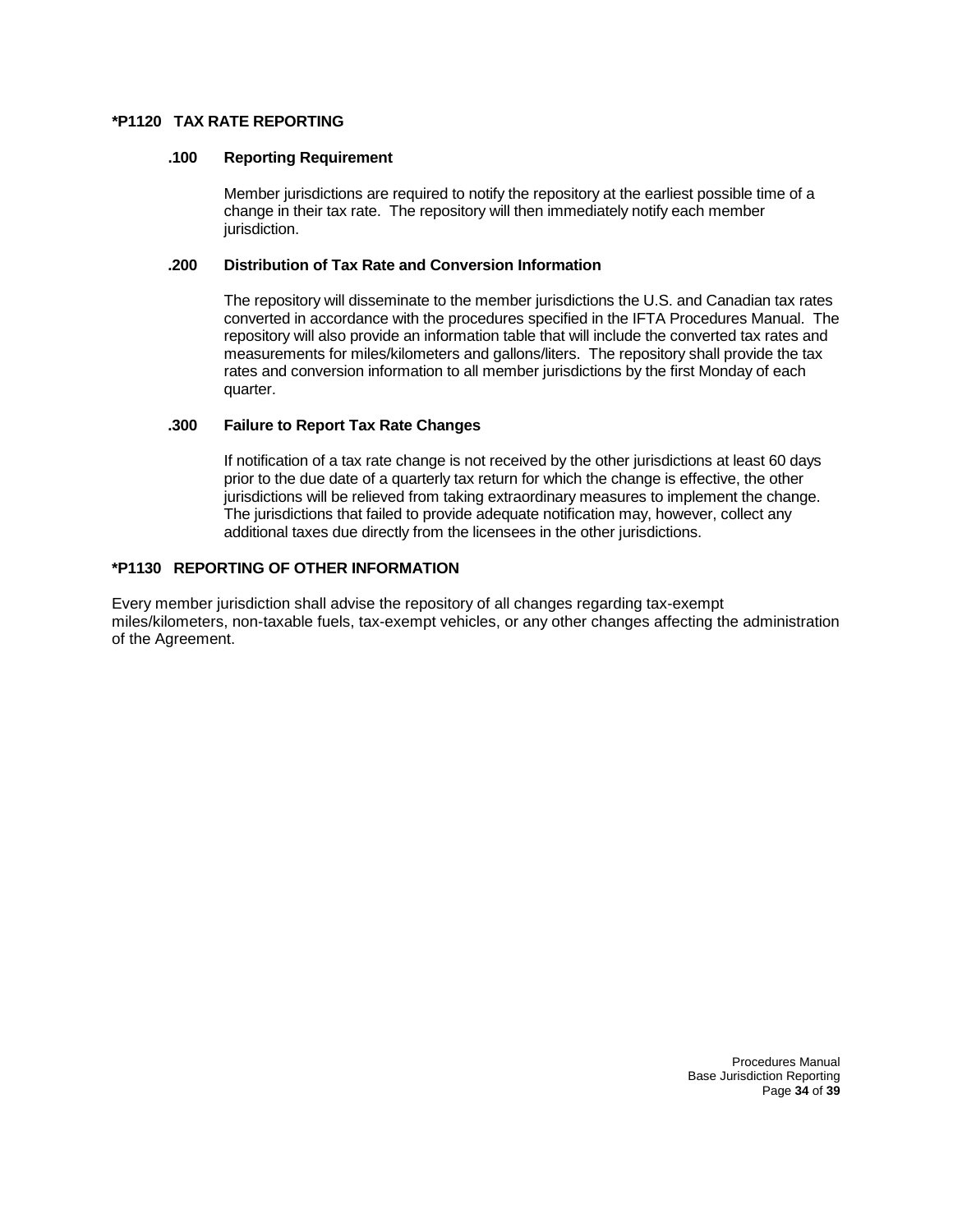#### **\*P1120 TAX RATE REPORTING**

#### **.100 Reporting Requirement**

Member jurisdictions are required to notify the repository at the earliest possible time of a change in their tax rate. The repository will then immediately notify each member jurisdiction.

#### **.200 Distribution of Tax Rate and Conversion Information**

The repository will disseminate to the member jurisdictions the U.S. and Canadian tax rates converted in accordance with the procedures specified in the IFTA Procedures Manual. The repository will also provide an information table that will include the converted tax rates and measurements for miles/kilometers and gallons/liters. The repository shall provide the tax rates and conversion information to all member jurisdictions by the first Monday of each quarter.

#### **.300 Failure to Report Tax Rate Changes**

If notification of a tax rate change is not received by the other jurisdictions at least 60 days prior to the due date of a quarterly tax return for which the change is effective, the other jurisdictions will be relieved from taking extraordinary measures to implement the change. The jurisdictions that failed to provide adequate notification may, however, collect any additional taxes due directly from the licensees in the other jurisdictions.

#### **\*P1130 REPORTING OF OTHER INFORMATION**

Every member jurisdiction shall advise the repository of all changes regarding tax-exempt miles/kilometers, non-taxable fuels, tax-exempt vehicles, or any other changes affecting the administration of the Agreement.

> Procedures Manual Base Jurisdiction Reporting Page **34** of **39**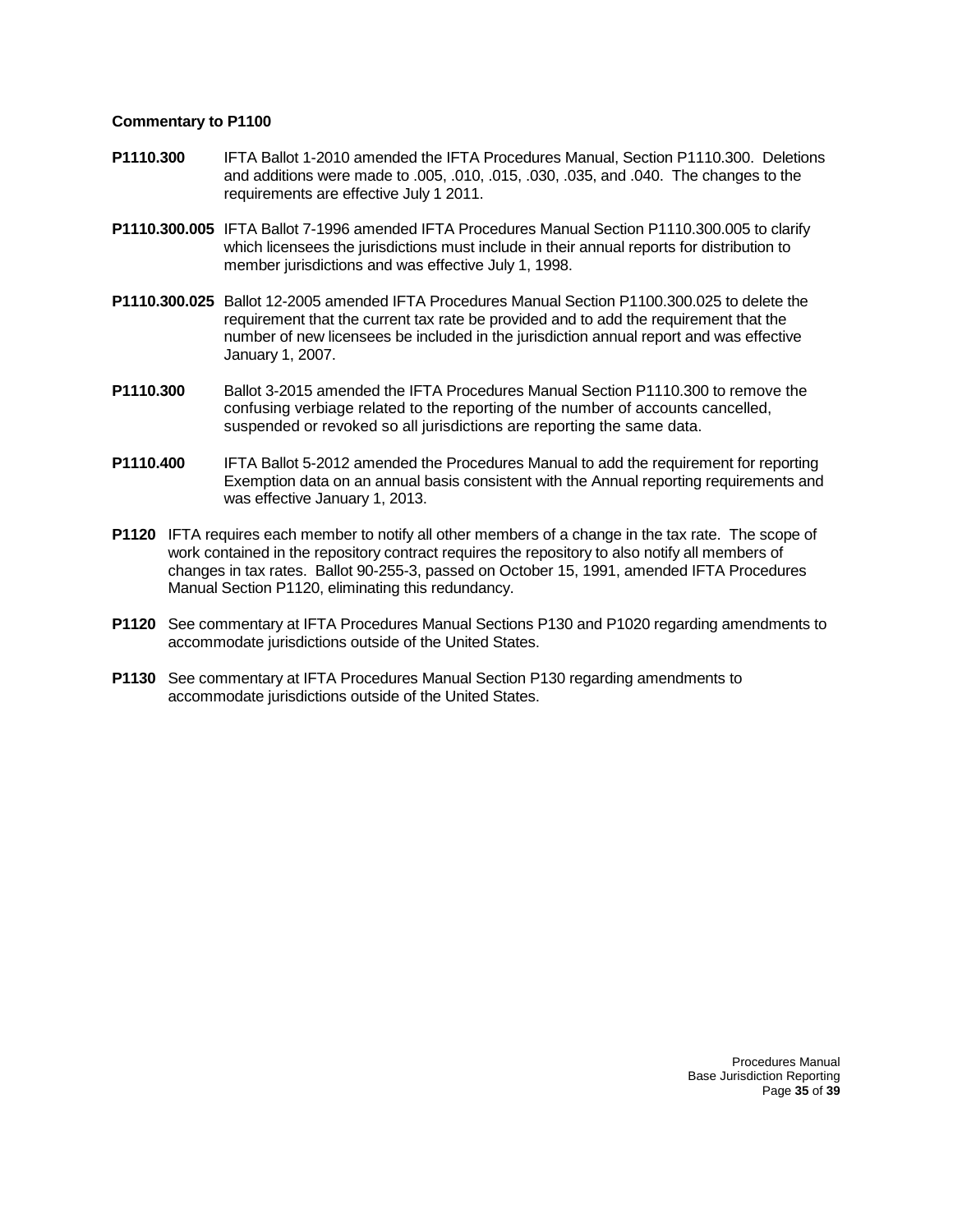- **P1110.300** IFTA Ballot 1-2010 amended the IFTA Procedures Manual, Section P1110.300. Deletions and additions were made to .005, .010, .015, .030, .035, and .040. The changes to the requirements are effective July 1 2011.
- **P1110.300.005** IFTA Ballot 7-1996 amended IFTA Procedures Manual Section P1110.300.005 to clarify which licensees the jurisdictions must include in their annual reports for distribution to member jurisdictions and was effective July 1, 1998.
- **P1110.300.025** Ballot 12-2005 amended IFTA Procedures Manual Section P1100.300.025 to delete the requirement that the current tax rate be provided and to add the requirement that the number of new licensees be included in the jurisdiction annual report and was effective January 1, 2007.
- **P1110.300** Ballot 3-2015 amended the IFTA Procedures Manual Section P1110.300 to remove the confusing verbiage related to the reporting of the number of accounts cancelled, suspended or revoked so all jurisdictions are reporting the same data.
- **P1110.400** IFTA Ballot 5-2012 amended the Procedures Manual to add the requirement for reporting Exemption data on an annual basis consistent with the Annual reporting requirements and was effective January 1, 2013.
- **P1120** IFTA requires each member to notify all other members of a change in the tax rate. The scope of work contained in the repository contract requires the repository to also notify all members of changes in tax rates. Ballot 90-255-3, passed on October 15, 1991, amended IFTA Procedures Manual Section P1120, eliminating this redundancy.
- **P1120** See commentary at IFTA Procedures Manual Sections P130 and P1020 regarding amendments to accommodate jurisdictions outside of the United States.
- **P1130** See commentary at IFTA Procedures Manual Section P130 regarding amendments to accommodate jurisdictions outside of the United States.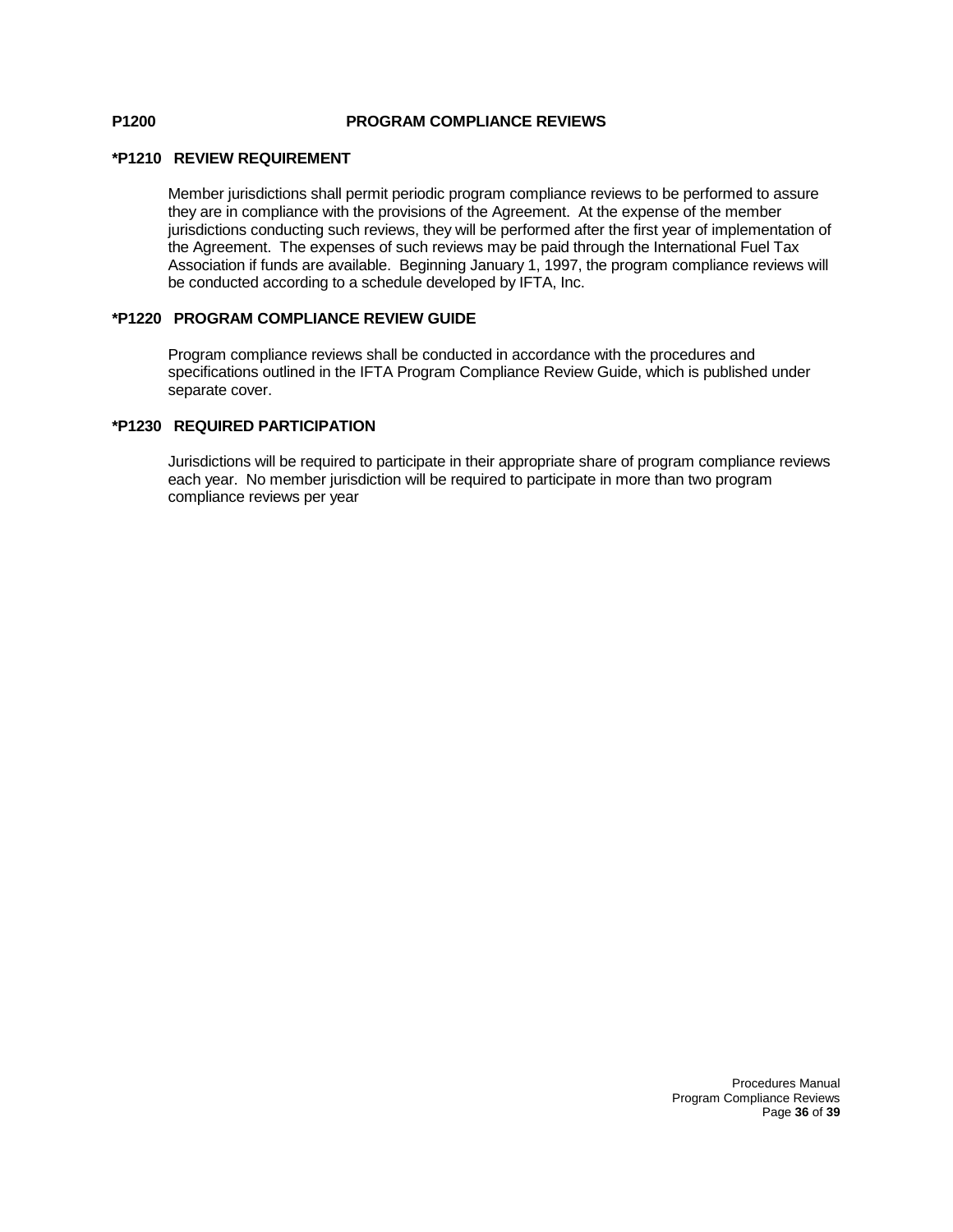### **P1200 PROGRAM COMPLIANCE REVIEWS**

#### **\*P1210 REVIEW REQUIREMENT**

Member jurisdictions shall permit periodic program compliance reviews to be performed to assure they are in compliance with the provisions of the Agreement. At the expense of the member jurisdictions conducting such reviews, they will be performed after the first year of implementation of the Agreement. The expenses of such reviews may be paid through the International Fuel Tax Association if funds are available. Beginning January 1, 1997, the program compliance reviews will be conducted according to a schedule developed by IFTA, Inc.

#### **\*P1220 PROGRAM COMPLIANCE REVIEW GUIDE**

Program compliance reviews shall be conducted in accordance with the procedures and specifications outlined in the IFTA Program Compliance Review Guide, which is published under separate cover.

#### **\*P1230 REQUIRED PARTICIPATION**

Jurisdictions will be required to participate in their appropriate share of program compliance reviews each year. No member jurisdiction will be required to participate in more than two program compliance reviews per year

#### Procedures Manual Program Compliance Reviews Page **36** of **39**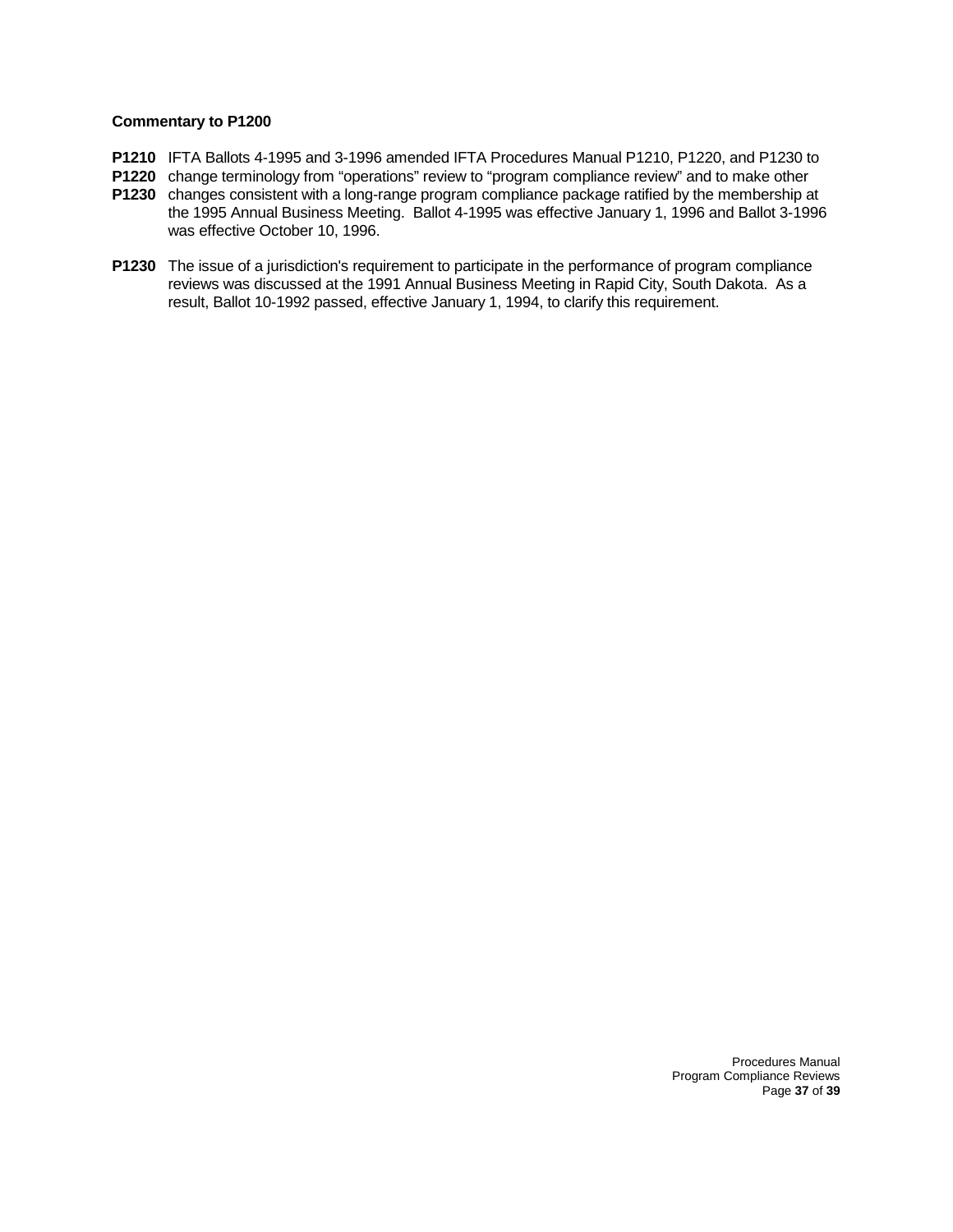- **P1210** IFTA Ballots 4-1995 and 3-1996 amended IFTA Procedures Manual P1210, P1220, and P1230 to
- **P1220** change terminology from "operations" review to "program compliance review" and to make other
- **P1230** changes consistent with a long-range program compliance package ratified by the membership at the 1995 Annual Business Meeting. Ballot 4-1995 was effective January 1, 1996 and Ballot 3-1996 was effective October 10, 1996.
- **P1230** The issue of a jurisdiction's requirement to participate in the performance of program compliance reviews was discussed at the 1991 Annual Business Meeting in Rapid City, South Dakota. As a result, Ballot 10-1992 passed, effective January 1, 1994, to clarify this requirement.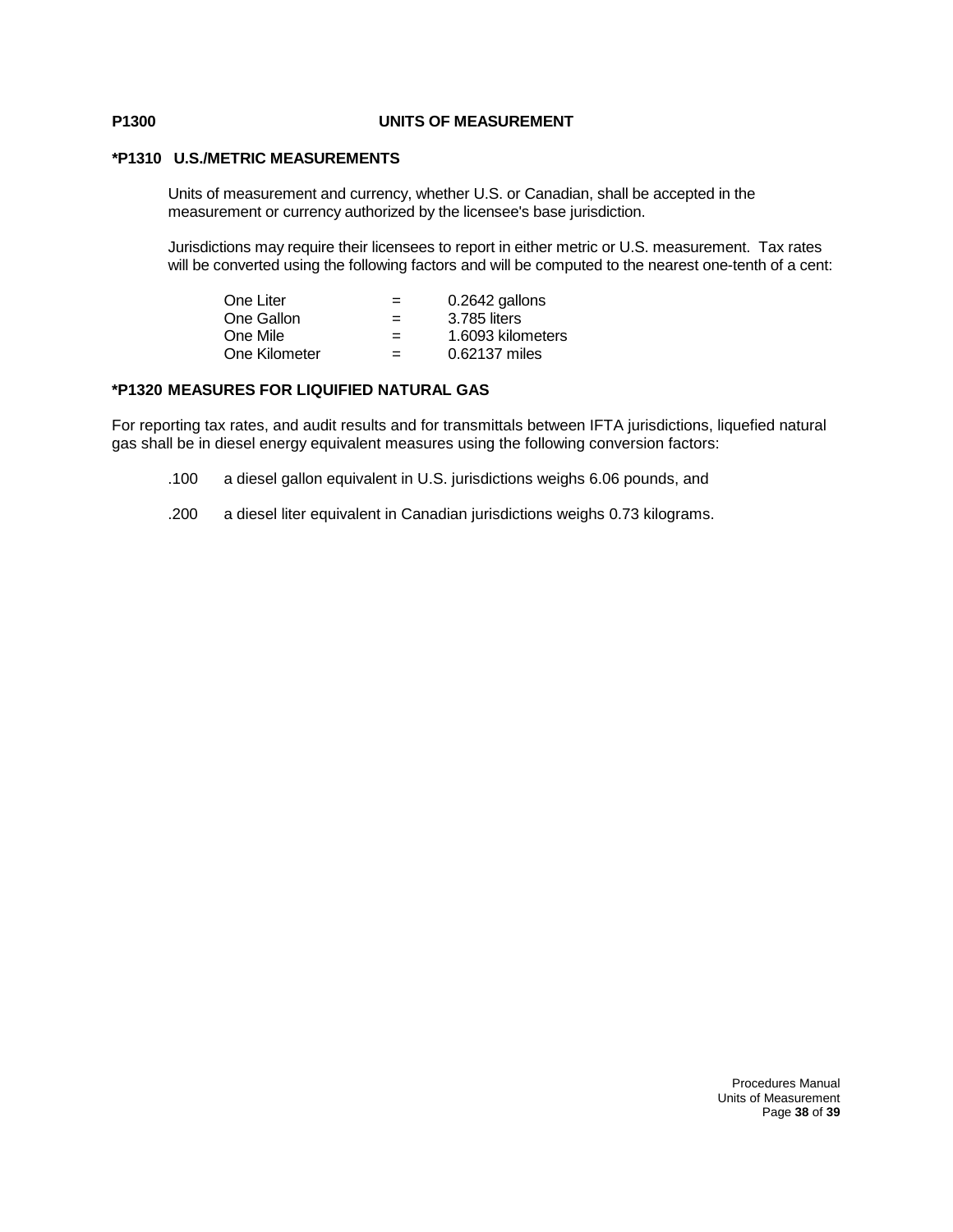### **P1300 UNITS OF MEASUREMENT**

#### **\*P1310 U.S./METRIC MEASUREMENTS**

Units of measurement and currency, whether U.S. or Canadian, shall be accepted in the measurement or currency authorized by the licensee's base jurisdiction.

Jurisdictions may require their licensees to report in either metric or U.S. measurement. Tax rates will be converted using the following factors and will be computed to the nearest one-tenth of a cent:

| One Liter     | $=$ | 0.2642 gallons    |
|---------------|-----|-------------------|
| One Gallon    | $=$ | 3.785 liters      |
| One Mile      | $=$ | 1.6093 kilometers |
| One Kilometer | $=$ | 0.62137 miles     |

#### **\*P1320 MEASURES FOR LIQUIFIED NATURAL GAS**

For reporting tax rates, and audit results and for transmittals between IFTA jurisdictions, liquefied natural gas shall be in diesel energy equivalent measures using the following conversion factors:

- .100 a diesel gallon equivalent in U.S. jurisdictions weighs 6.06 pounds, and
- .200 a diesel liter equivalent in Canadian jurisdictions weighs 0.73 kilograms.

#### Procedures Manual Units of Measurement Page **38** of **39**